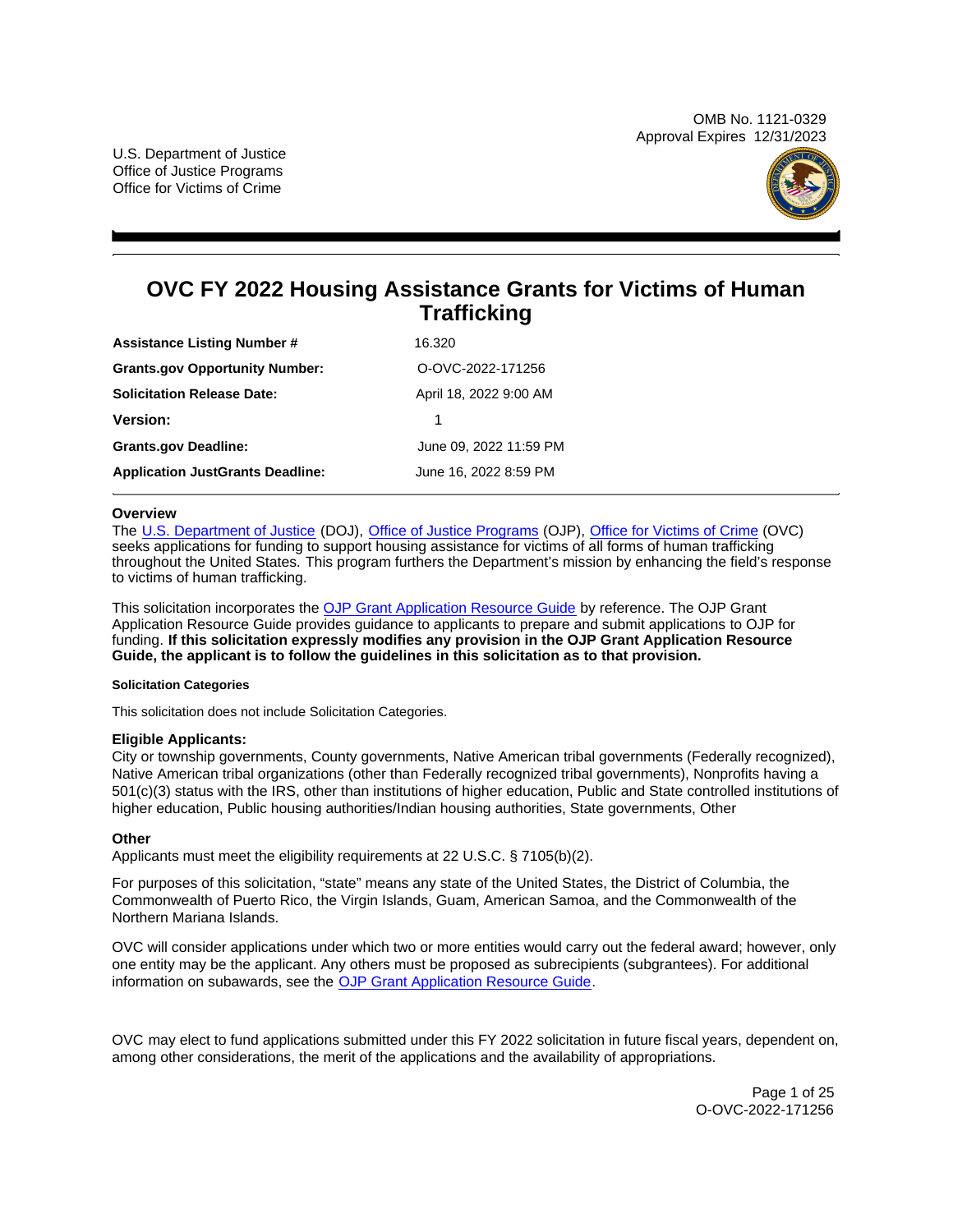OMB No. 1121-0329 Approval Expires 12/31/2023

U.S. Department of Justice Office of Justice Programs Office for Victims of Crime



# **OVC FY 2022 Housing Assistance Grants for Victims of Human Trafficking**

| <b>Assistance Listing Number #</b>      | 16.320                 |
|-----------------------------------------|------------------------|
| <b>Grants.gov Opportunity Number:</b>   | O-OVC-2022-171256      |
| <b>Solicitation Release Date:</b>       | April 18, 2022 9:00 AM |
| <b>Version:</b>                         |                        |
| <b>Grants.gov Deadline:</b>             | June 09, 2022 11:59 PM |
| <b>Application JustGrants Deadline:</b> | June 16, 2022 8:59 PM  |

## **Overview**

The [U.S. Department of Justice](https://www.usdoj.gov/) (DOJ), [Office of Justice Programs](https://www.ojp.gov/) (OJP), [Office for Victims of Crime](https://ovc.ojp.gov/) (OVC) seeks applications for funding to support housing assistance for victims of all forms of human trafficking throughout the United States. This program furthers the Department's mission by enhancing the field's response to victims of human trafficking.

This solicitation incorporates the [OJP Grant Application Resource Guide](https://www.ojp.gov/funding/Apply/Resources/Grant-App-Resource-Guide.htm) by reference. The OJP Grant Application Resource Guide provides guidance to applicants to prepare and submit applications to OJP for funding. **If this solicitation expressly modifies any provision in the OJP Grant Application Resource Guide, the applicant is to follow the guidelines in this solicitation as to that provision.** 

#### **Solicitation Categories**

This solicitation does not include Solicitation Categories.

## **Eligible Applicants:**

City or township governments, County governments, Native American tribal governments (Federally recognized), Native American tribal organizations (other than Federally recognized tribal governments), Nonprofits having a 501(c)(3) status with the IRS, other than institutions of higher education, Public and State controlled institutions of higher education, Public housing authorities/Indian housing authorities, State governments, Other

## **Other**

Applicants must meet the eligibility requirements at 22 U.S.C. § 7105(b)(2).

For purposes of this solicitation, "state" means any state of the United States, the District of Columbia, the Commonwealth of Puerto Rico, the Virgin Islands, Guam, American Samoa, and the Commonwealth of the Northern Mariana Islands.

OVC will consider applications under which two or more entities would carry out the federal award; however, only one entity may be the applicant. Any others must be proposed as subrecipients (subgrantees). For additional information on subawards, see the [OJP Grant Application Resource Guide.](https://www.ojp.gov/funding/Apply/Resources/Grant-App-Resource-Guide.htm)

OVC may elect to fund applications submitted under this FY 2022 solicitation in future fiscal years, dependent on, among other considerations, the merit of the applications and the availability of appropriations.

> Page 1 of 25 O-OVC-2022-171256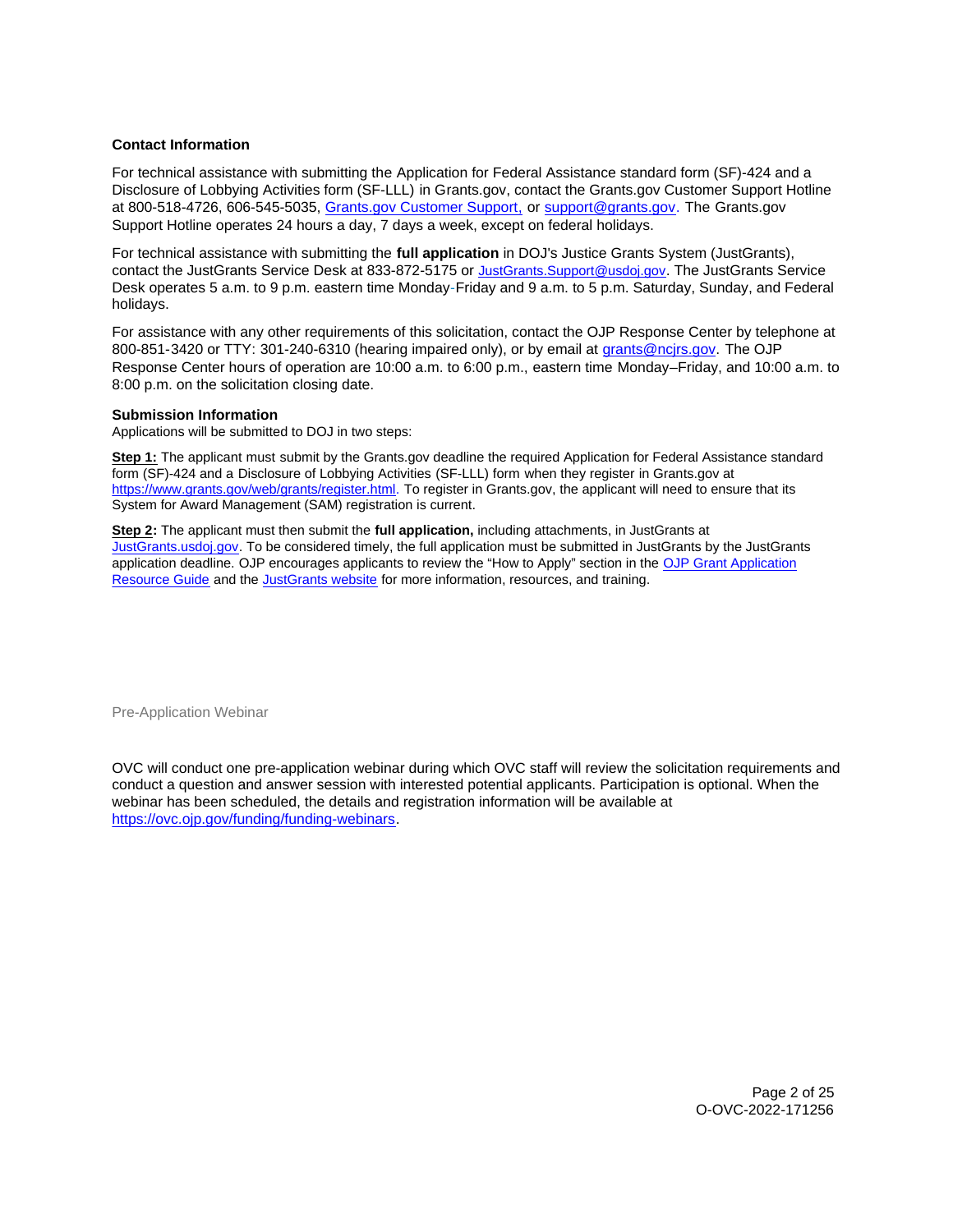# <span id="page-1-0"></span>**Contact Information**

For technical assistance with submitting the Application for Federal Assistance standard form (SF)-424 and a Disclosure of Lobbying Activities form (SF-LLL) in [Grants.gov](https://Grants.gov), contact the [Grants.gov](https://Grants.gov) Customer Support Hotline at 800-518-4726, 606-545-5035, [Grants.gov Customer Support,](https://www.grants.gov/web/grants/support.html) or [support@grants.gov.](mailto:support@grants.gov) The [Grants.gov](https://Grants.gov) Support Hotline operates 24 hours a day, 7 days a week, except on federal holidays.

For technical assistance with submitting the **full application** in DOJ's Justice Grants System (JustGrants), contact the JustGrants Service Desk at 833-872-5175 or [JustGrants.Support@usdoj.gov.](mailto:JustGrants.Support@usdoj.gov) The JustGrants Service Desk operates 5 a.m. to 9 p.m. eastern time Monday-Friday and 9 a.m. to 5 p.m. Saturday, Sunday, and Federal holidays.

For assistance with any other requirements of this solicitation, contact the OJP Response Center by telephone at 800-851-3420 or TTY: 301-240-6310 (hearing impaired only), or by email at [grants@ncjrs.gov.](mailto:grants@ncjrs.gov) The OJP Response Center hours of operation are 10:00 a.m. to 6:00 p.m., eastern time Monday–Friday, and 10:00 a.m. to 8:00 p.m. on the solicitation closing date.

## **Submission Information**

Applications will be submitted to DOJ in two steps:

**Step 1:** The applicant must submit by the [Grants.gov](https://Grants.gov) deadline the required Application for Federal Assistance standard form (SF)-424 and a Disclosure of Lobbying Activities (SF-LLL) form when they register in [Grants.gov](https://Grants.gov) at [https://www.grants.gov/web/grants/register.html.](https://www.grants.gov/web/grants/register.html) To register in [Grants.gov,](https://Grants.gov) the applicant will need to ensure that its System for Award Management (SAM) registration is current.

**Step 2:** The applicant must then submit the **full application,** including attachments, in JustGrants at [JustGrants.usdoj.gov.](https://justicegrants.usdoj.gov/) To be considered timely, the full application must be submitted in JustGrants by the JustGrants application deadline. OJP encourages applicants to review the "How to Apply" section in the [OJP Grant Application](https://www.ojp.gov/funding/apply/ojp-grant-application-resource-guide#apply)  [Resource Guide](https://www.ojp.gov/funding/apply/ojp-grant-application-resource-guide#apply) and the [JustGrants website](https://justicegrants.usdoj.gov/news) for more information, resources, and training.

Pre-Application Webinar

OVC will conduct one pre-application webinar during which OVC staff will review the solicitation requirements and conduct a question and answer session with interested potential applicants. Participation is optional. When the webinar has been scheduled, the details and registration information will be available at [https://ovc.ojp.gov/funding/funding-webinars.](https://ovc.ojp.gov/funding/funding-webinars)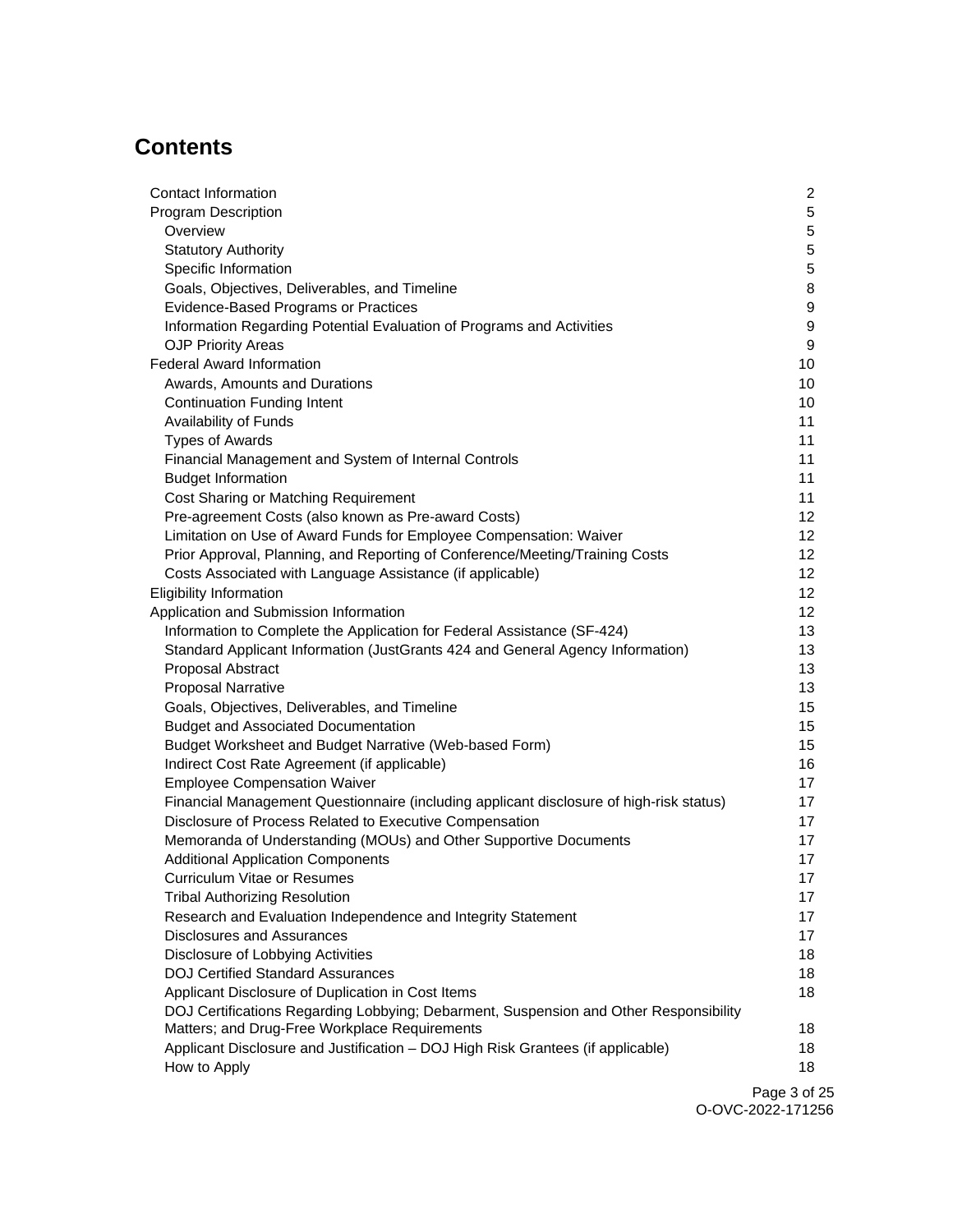# **Contents**

| Contact Information                                                                     | $\overline{2}$   |
|-----------------------------------------------------------------------------------------|------------------|
| <b>Program Description</b>                                                              | 5                |
| Overview                                                                                | 5                |
| <b>Statutory Authority</b>                                                              | 5                |
| Specific Information                                                                    | 5                |
| Goals, Objectives, Deliverables, and Timeline                                           | 8                |
| Evidence-Based Programs or Practices                                                    | 9                |
| Information Regarding Potential Evaluation of Programs and Activities                   | 9                |
| <b>OJP Priority Areas</b>                                                               | $\boldsymbol{9}$ |
| <b>Federal Award Information</b>                                                        | 10               |
| Awards, Amounts and Durations                                                           | 10               |
| <b>Continuation Funding Intent</b>                                                      | 10               |
| Availability of Funds                                                                   | 11               |
| <b>Types of Awards</b>                                                                  | 11               |
| Financial Management and System of Internal Controls                                    | 11               |
| <b>Budget Information</b>                                                               | 11               |
| Cost Sharing or Matching Requirement                                                    | 11               |
| Pre-agreement Costs (also known as Pre-award Costs)                                     | 12               |
| Limitation on Use of Award Funds for Employee Compensation: Waiver                      | 12               |
| Prior Approval, Planning, and Reporting of Conference/Meeting/Training Costs            | 12 <sub>2</sub>  |
| Costs Associated with Language Assistance (if applicable)                               | 12 <sub>2</sub>  |
| <b>Eligibility Information</b>                                                          | 12 <sub>2</sub>  |
| Application and Submission Information                                                  | 12               |
| Information to Complete the Application for Federal Assistance (SF-424)                 | 13               |
| Standard Applicant Information (JustGrants 424 and General Agency Information)          | 13               |
| Proposal Abstract                                                                       | 13               |
| <b>Proposal Narrative</b>                                                               | 13               |
| Goals, Objectives, Deliverables, and Timeline                                           | 15               |
| <b>Budget and Associated Documentation</b>                                              | 15               |
| Budget Worksheet and Budget Narrative (Web-based Form)                                  | 15               |
| Indirect Cost Rate Agreement (if applicable)                                            | 16               |
| <b>Employee Compensation Waiver</b>                                                     | 17               |
| Financial Management Questionnaire (including applicant disclosure of high-risk status) | 17               |
| Disclosure of Process Related to Executive Compensation                                 | 17               |
| Memoranda of Understanding (MOUs) and Other Supportive Documents                        | 17               |
| <b>Additional Application Components</b>                                                | 17               |
| <b>Curriculum Vitae or Resumes</b>                                                      | 17               |
| <b>Tribal Authorizing Resolution</b>                                                    | 17               |
| Research and Evaluation Independence and Integrity Statement                            | 17               |
| <b>Disclosures and Assurances</b>                                                       | 17               |
| Disclosure of Lobbying Activities                                                       | 18               |
| <b>DOJ Certified Standard Assurances</b>                                                | 18               |
| Applicant Disclosure of Duplication in Cost Items                                       | 18               |
| DOJ Certifications Regarding Lobbying; Debarment, Suspension and Other Responsibility   |                  |
| Matters; and Drug-Free Workplace Requirements                                           | 18               |
| Applicant Disclosure and Justification - DOJ High Risk Grantees (if applicable)         | 18               |
| How to Apply                                                                            | 18               |
|                                                                                         |                  |

Page 3 of 25 O-OVC-2022-171256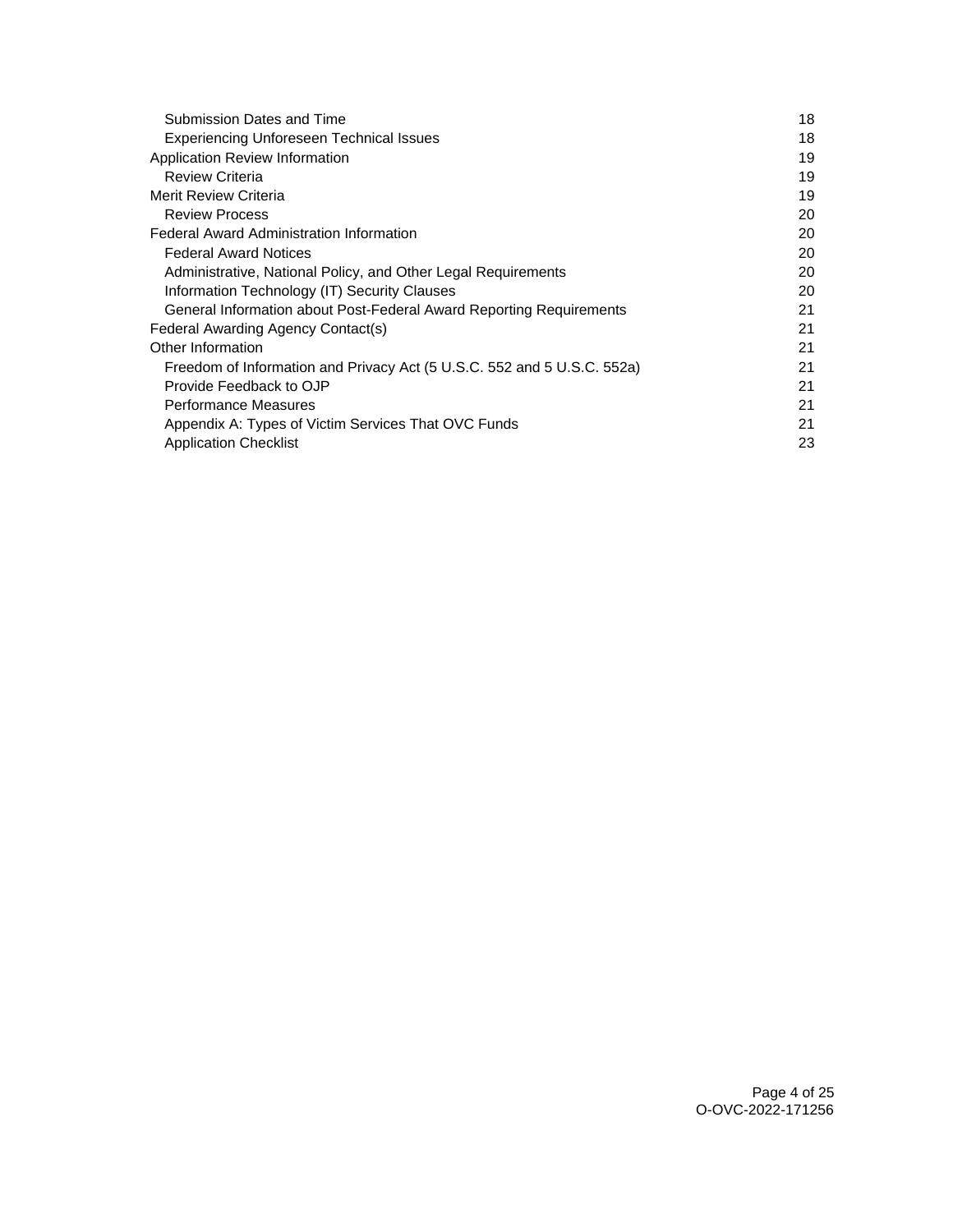| Submission Dates and Time                                               | 18 |
|-------------------------------------------------------------------------|----|
| Experiencing Unforeseen Technical Issues                                | 18 |
| Application Review Information                                          | 19 |
| <b>Review Criteria</b>                                                  | 19 |
| Merit Review Criteria                                                   | 19 |
| <b>Review Process</b>                                                   | 20 |
| <b>Federal Award Administration Information</b>                         | 20 |
| <b>Federal Award Notices</b>                                            | 20 |
| Administrative, National Policy, and Other Legal Requirements           | 20 |
| Information Technology (IT) Security Clauses                            | 20 |
| General Information about Post-Federal Award Reporting Requirements     | 21 |
| Federal Awarding Agency Contact(s)                                      | 21 |
| Other Information                                                       | 21 |
| Freedom of Information and Privacy Act (5 U.S.C. 552 and 5 U.S.C. 552a) | 21 |
| Provide Feedback to OJP                                                 | 21 |
| Performance Measures                                                    | 21 |
| Appendix A: Types of Victim Services That OVC Funds                     | 21 |
| <b>Application Checklist</b>                                            | 23 |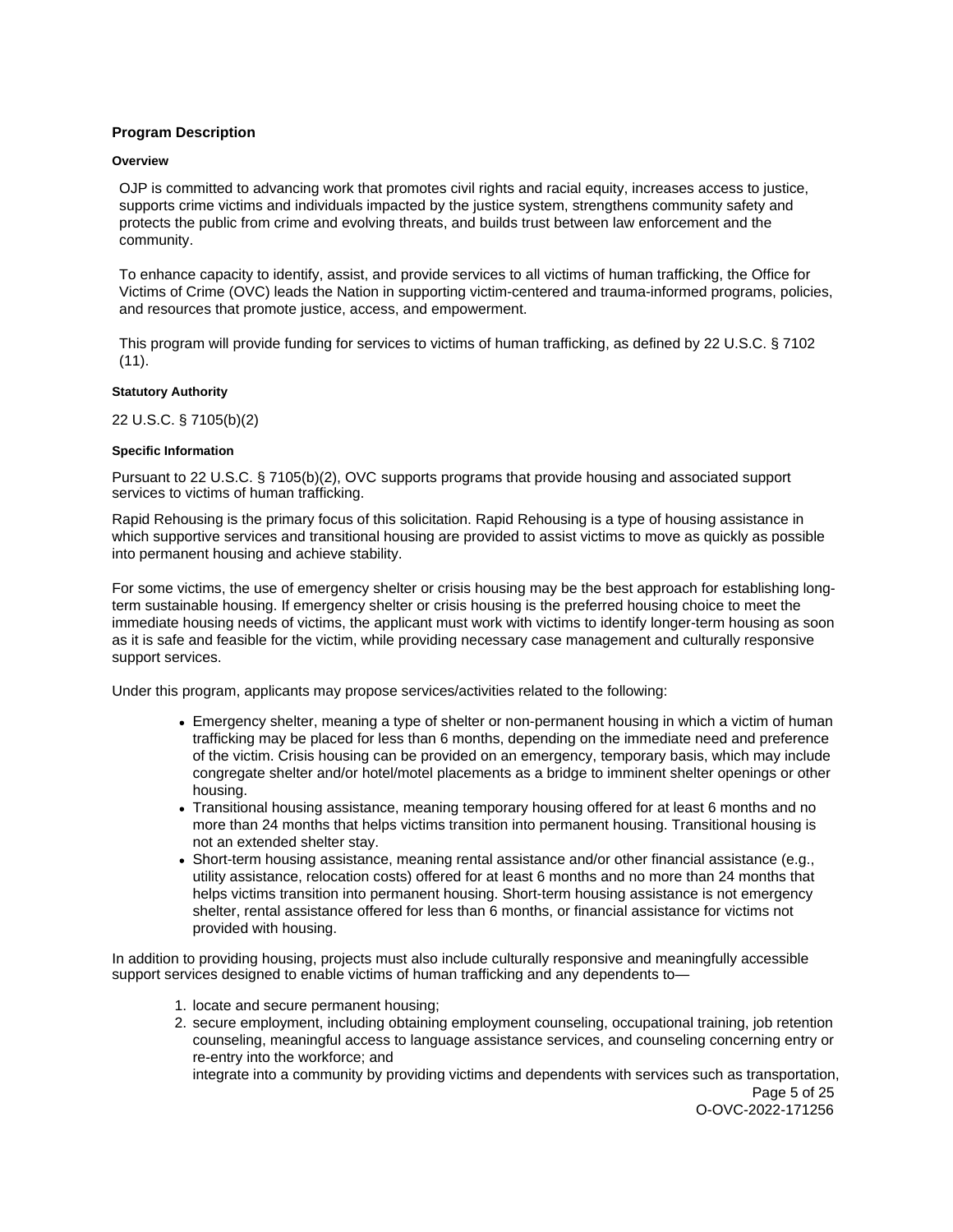# <span id="page-4-0"></span>**Program Description**

#### **Overview**

OJP is committed to advancing work that promotes civil rights and racial equity, increases access to justice, supports crime victims and individuals impacted by the justice system, strengthens community safety and protects the public from crime and evolving threats, and builds trust between law enforcement and the community.

To enhance capacity to identify, assist, and provide services to all victims of human trafficking, the Office for Victims of Crime (OVC) leads the Nation in supporting victim-centered and trauma-informed programs, policies, and resources that promote justice, access, and empowerment.

This program will provide funding for services to victims of human trafficking, as defined by 22 U.S.C. § 7102  $(11).$ 

#### **Statutory Authority**

22 U.S.C. § 7105(b)(2)

### **Specific Information**

Pursuant to 22 U.S.C. § 7105(b)(2), OVC supports programs that provide housing and associated support services to victims of human trafficking.

Rapid Rehousing is the primary focus of this solicitation. Rapid Rehousing is a type of housing assistance in which supportive services and transitional housing are provided to assist victims to move as quickly as possible into permanent housing and achieve stability.

For some victims, the use of emergency shelter or crisis housing may be the best approach for establishing longterm sustainable housing. If emergency shelter or crisis housing is the preferred housing choice to meet the immediate housing needs of victims, the applicant must work with victims to identify longer-term housing as soon as it is safe and feasible for the victim, while providing necessary case management and culturally responsive support services.

Under this program, applicants may propose services/activities related to the following:

- Emergency shelter, meaning a type of shelter or non-permanent housing in which a victim of human trafficking may be placed for less than 6 months, depending on the immediate need and preference of the victim. Crisis housing can be provided on an emergency, temporary basis, which may include congregate shelter and/or hotel/motel placements as a bridge to imminent shelter openings or other housing.
- Transitional housing assistance, meaning temporary housing offered for at least 6 months and no more than 24 months that helps victims transition into permanent housing. Transitional housing is not an extended shelter stay.
- Short-term housing assistance, meaning rental assistance and/or other financial assistance (e.g., utility assistance, relocation costs) offered for at least 6 months and no more than 24 months that helps victims transition into permanent housing. Short-term housing assistance is not emergency shelter, rental assistance offered for less than 6 months, or financial assistance for victims not provided with housing.

In addition to providing housing, projects must also include culturally responsive and meaningfully accessible support services designed to enable victims of human trafficking and any dependents to—

- 1. locate and secure permanent housing;
- 2. secure employment, including obtaining employment counseling, occupational training, job retention counseling, meaningful access to language assistance services, and counseling concerning entry or re-entry into the workforce; and

integrate into a community by providing victims and dependents with services such as transportation, Page 5 of 25

O-OVC-2022-171256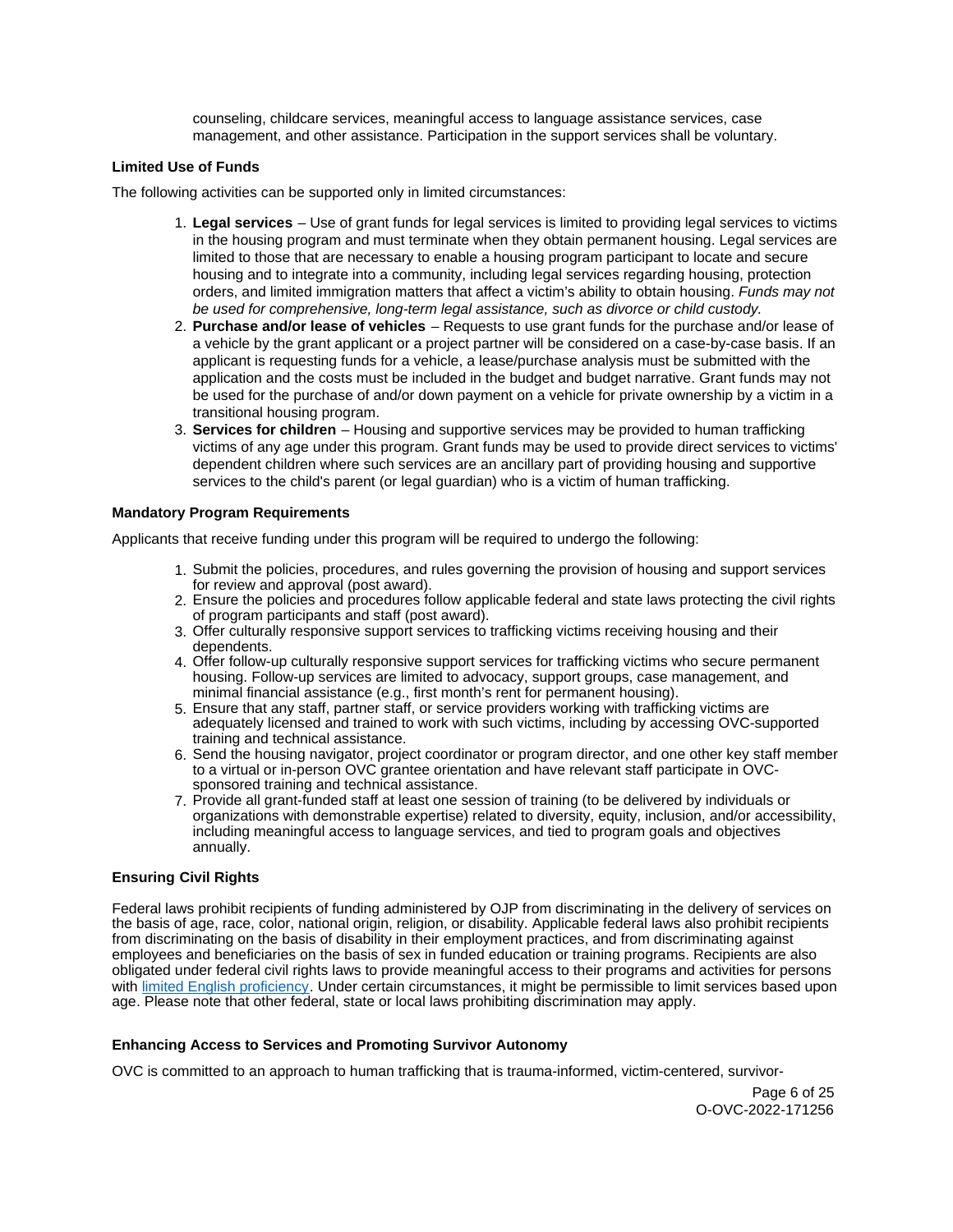counseling, childcare services, meaningful access to language assistance services, case management, and other assistance. Participation in the support services shall be voluntary.

# **Limited Use of Funds**

The following activities can be supported only in limited circumstances:

- 1. **Legal services**  Use of grant funds for legal services is limited to providing legal services to victims in the housing program and must terminate when they obtain permanent housing. Legal services are limited to those that are necessary to enable a housing program participant to locate and secure housing and to integrate into a community, including legal services regarding housing, protection orders, and limited immigration matters that affect a victim's ability to obtain housing. Funds may not be used for comprehensive, long-term legal assistance, such as divorce or child custody.
- 2. **Purchase and/or lease of vehicles**  Requests to use grant funds for the purchase and/or lease of a vehicle by the grant applicant or a project partner will be considered on a case-by-case basis. If an applicant is requesting funds for a vehicle, a lease/purchase analysis must be submitted with the application and the costs must be included in the budget and budget narrative. Grant funds may not be used for the purchase of and/or down payment on a vehicle for private ownership by a victim in a transitional housing program.
- 3. **Services for children**  Housing and supportive services may be provided to human trafficking victims of any age under this program. Grant funds may be used to provide direct services to victims' dependent children where such services are an ancillary part of providing housing and supportive services to the child's parent (or legal guardian) who is a victim of human trafficking.

## **Mandatory Program Requirements**

Applicants that receive funding under this program will be required to undergo the following:

- 1. Submit the policies, procedures, and rules governing the provision of housing and support services for review and approval (post award).
- 2. Ensure the policies and procedures follow applicable federal and state laws protecting the civil rights of program participants and staff (post award).
- 3. Offer culturally responsive support services to trafficking victims receiving housing and their dependents.
- 4. Offer follow-up culturally responsive support services for trafficking victims who secure permanent housing. Follow-up services are limited to advocacy, support groups, case management, and minimal financial assistance (e.g., first month's rent for permanent housing).
- 5. Ensure that any staff, partner staff, or service providers working with trafficking victims are adequately licensed and trained to work with such victims, including by accessing OVC-supported training and technical assistance.
- 6. Send the housing navigator, project coordinator or program director, and one other key staff member to a virtual or in-person OVC grantee orientation and have relevant staff participate in OVCsponsored training and technical assistance.
- 7. Provide all grant-funded staff at least one session of training (to be delivered by individuals or organizations with demonstrable expertise) related to diversity, equity, inclusion, and/or accessibility, including meaningful access to language services, and tied to program goals and objectives annually.

## **Ensuring Civil Rights**

Federal laws prohibit recipients of funding administered by OJP from discriminating in the delivery of services on the basis of age, race, color, national origin, religion, or disability. Applicable federal laws also prohibit recipients from discriminating on the basis of disability in their employment practices, and from discriminating against employees and beneficiaries on the basis of sex in funded education or training programs. Recipients are also obligated under federal civil rights laws to provide meaningful access to their programs and activities for persons with [limited English proficiency.](https://www.ojp.gov/program/civil-rights/limited-english-proficient-lep) Under certain circumstances, it might be permissible to limit services based upon age. Please note that other federal, state or local laws prohibiting discrimination may apply.

# **Enhancing Access to Services and Promoting Survivor Autonomy**

OVC is committed to an approach to human trafficking that is trauma-informed, victim-centered, survivor-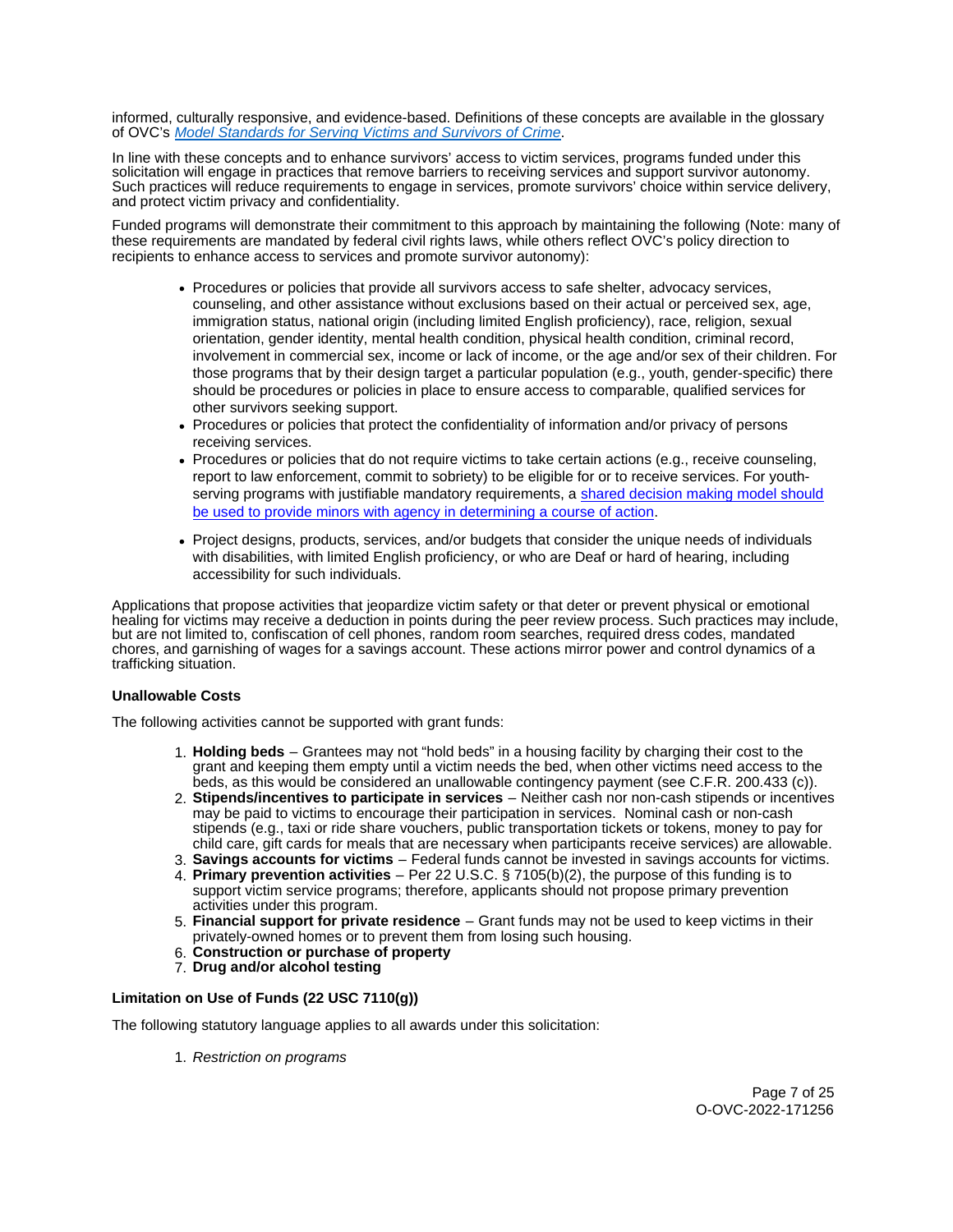informed, culturally responsive, and evidence-based. Definitions of these concepts are available in the glossary of OVC's [Model Standards for Serving Victims and Survivors of Crime](https://ovc.ojp.gov/sites/g/files/xyckuh226/files/model-standards/6/glossary.html).

In line with these concepts and to enhance survivors' access to victim services, programs funded under this solicitation will engage in practices that remove barriers to receiving services and support survivor autonomy. Such practices will reduce requirements to engage in services, promote survivors' choice within service delivery, and protect victim privacy and confidentiality.

Funded programs will demonstrate their commitment to this approach by maintaining the following (Note: many of these requirements are mandated by federal civil rights laws, while others reflect OVC's policy direction to recipients to enhance access to services and promote survivor autonomy):

- Procedures or policies that provide all survivors access to safe shelter, advocacy services, counseling, and other assistance without exclusions based on their actual or perceived sex, age, immigration status, national origin (including limited English proficiency), race, religion, sexual orientation, gender identity, mental health condition, physical health condition, criminal record, involvement in commercial sex, income or lack of income, or the age and/or sex of their children. For those programs that by their design target a particular population (e.g., youth, gender-specific) there should be procedures or policies in place to ensure access to comparable, qualified services for other survivors seeking support.
- Procedures or policies that protect the confidentiality of information and/or privacy of persons receiving services.
- Procedures or policies that do not require victims to take certain actions (e.g., receive counseling, report to law enforcement, commit to sobriety) to be eligible for or to receive services. For youthserving programs with justifiable mandatory requirements, a shared decision making model should [be used to provide minors with agency in determining a course of action.](https://www.acf.hhs.gov/sites/default/files/documents/fysb/acf_issuebrief_htprevention_10202020_final_508.pdf)
- Project designs, products, services, and/or budgets that consider the unique needs of individuals with disabilities, with limited English proficiency, or who are Deaf or hard of hearing, including accessibility for such individuals.

Applications that propose activities that jeopardize victim safety or that deter or prevent physical or emotional healing for victims may receive a deduction in points during the peer review process. Such practices may include, but are not limited to, confiscation of cell phones, random room searches, required dress codes, mandated chores, and garnishing of wages for a savings account. These actions mirror power and control dynamics of a trafficking situation.

## **Unallowable Costs**

The following activities cannot be supported with grant funds:

- 1. **Holding beds**  Grantees may not "hold beds" in a housing facility by charging their cost to the grant and keeping them empty until a victim needs the bed, when other victims need access to the beds, as this would be considered an unallowable contingency payment (see C.F.R. 200.433 (c)).
- 2. **Stipends/incentives to participate in services**  Neither cash nor non-cash stipends or incentives may be paid to victims to encourage their participation in services. Nominal cash or non-cash stipends (e.g., taxi or ride share vouchers, public transportation tickets or tokens, money to pay for child care, gift cards for meals that are necessary when participants receive services) are allowable.
- 3. **Savings accounts for victims**  Federal funds cannot be invested in savings accounts for victims. 4. **Primary prevention activities** – Per 22 U.S.C. § 7105(b)(2), the purpose of this funding is to
- support victim service programs; therefore, applicants should not propose primary prevention activities under this program.
- 5. **Financial support for private residence**  Grant funds may not be used to keep victims in their privately-owned homes or to prevent them from losing such housing.
- 6. **Construction or purchase of property**
- 7. **Drug and/or alcohol testing**

# **Limitation on Use of Funds (22 USC 7110(g))**

The following statutory language applies to all awards under this solicitation:

1. Restriction on programs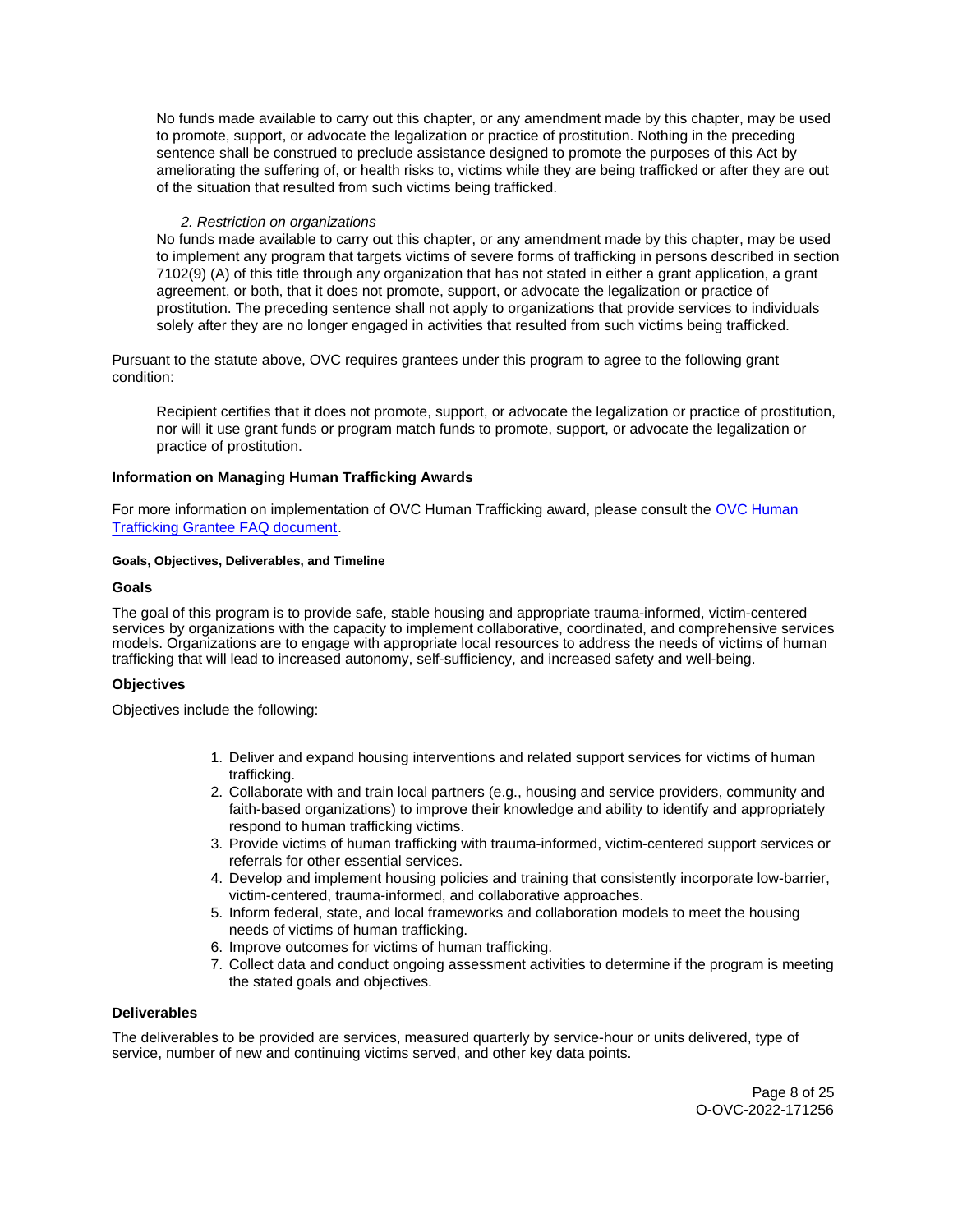<span id="page-7-0"></span>No funds made available to carry out this chapter, or any amendment made by this chapter, may be used to promote, support, or advocate the legalization or practice of prostitution. Nothing in the preceding sentence shall be construed to preclude assistance designed to promote the purposes of this Act by ameliorating the suffering of, or health risks to, victims while they are being trafficked or after they are out of the situation that resulted from such victims being trafficked.

# 2. Restriction on organizations

No funds made available to carry out this chapter, or any amendment made by this chapter, may be used to implement any program that targets victims of severe forms of trafficking in persons described in section 7102(9) (A) of this title through any organization that has not stated in either a grant application, a grant agreement, or both, that it does not promote, support, or advocate the legalization or practice of prostitution. The preceding sentence shall not apply to organizations that provide services to individuals solely after they are no longer engaged in activities that resulted from such victims being trafficked.

Pursuant to the statute above, OVC requires grantees under this program to agree to the following grant condition:

Recipient certifies that it does not promote, support, or advocate the legalization or practice of prostitution, nor will it use grant funds or program match funds to promote, support, or advocate the legalization or practice of prostitution.

## **Information on Managing Human Trafficking Awards**

For more information on implementation of OVC Human Trafficking award, please consult the [OVC Human](https://ovc.ojp.gov/program/human-trafficking/ovc-human-trafficking-program-faqs)  [Trafficking Grantee FAQ document.](https://ovc.ojp.gov/program/human-trafficking/ovc-human-trafficking-program-faqs)

## **Goals, Objectives, Deliverables, and Timeline**

## **Goals**

The goal of this program is to provide safe, stable housing and appropriate trauma-informed, victim-centered services by organizations with the capacity to implement collaborative, coordinated, and comprehensive services models. Organizations are to engage with appropriate local resources to address the needs of victims of human trafficking that will lead to increased autonomy, self-sufficiency, and increased safety and well-being.

## **Objectives**

Objectives include the following:

- 1. Deliver and expand housing interventions and related support services for victims of human trafficking.
- 2. Collaborate with and train local partners (e.g., housing and service providers, community and faith-based organizations) to improve their knowledge and ability to identify and appropriately respond to human trafficking victims.
- 3. Provide victims of human trafficking with trauma-informed, victim-centered support services or referrals for other essential services.
- 4. Develop and implement housing policies and training that consistently incorporate low-barrier, victim-centered, trauma-informed, and collaborative approaches.
- 5. Inform federal, state, and local frameworks and collaboration models to meet the housing needs of victims of human trafficking.
- 6. Improve outcomes for victims of human trafficking.
- 7. Collect data and conduct ongoing assessment activities to determine if the program is meeting the stated goals and objectives.

# **Deliverables**

The deliverables to be provided are services, measured quarterly by service-hour or units delivered, type of service, number of new and continuing victims served, and other key data points.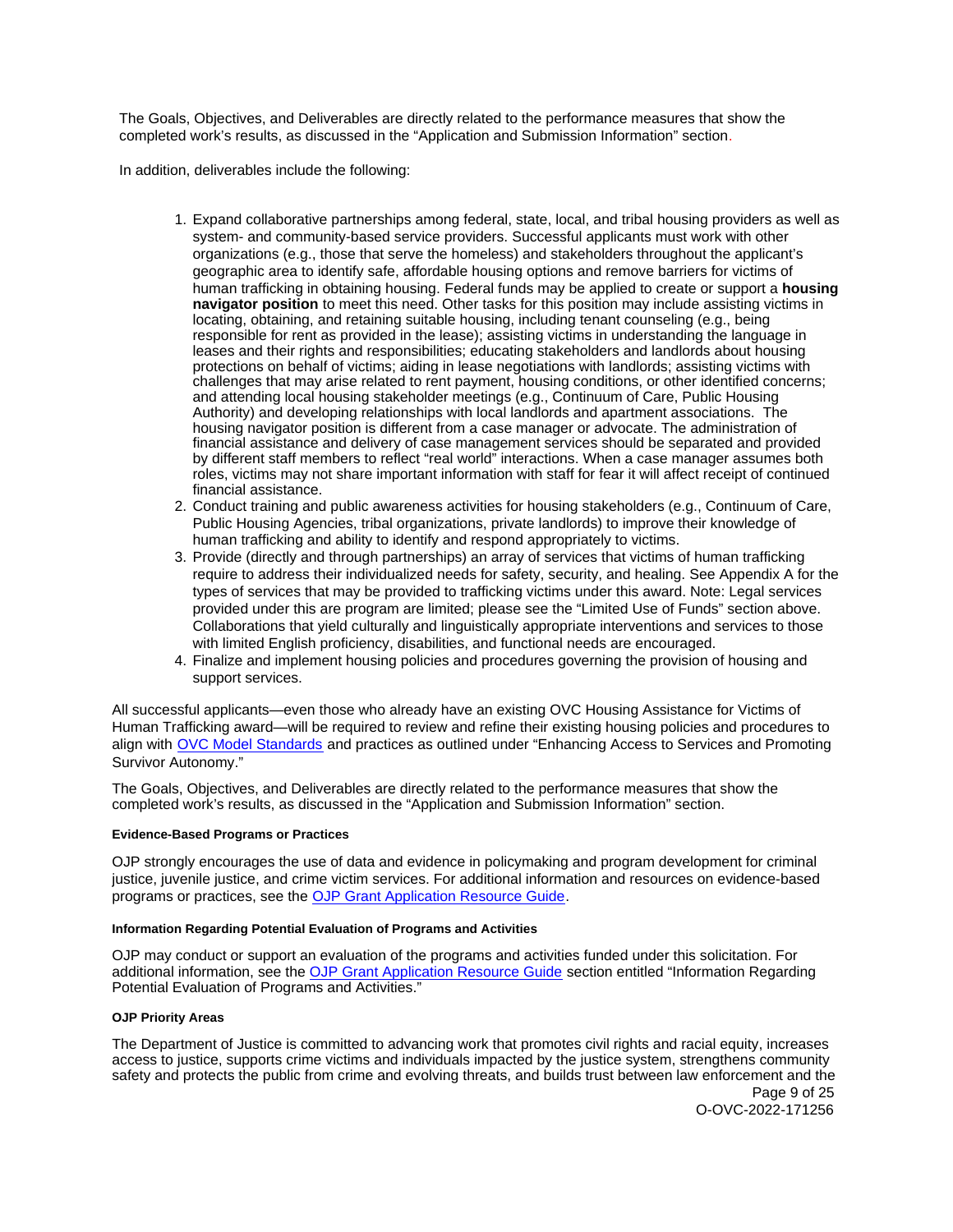<span id="page-8-0"></span>The Goals, Objectives, and Deliverables are directly related to the performance measures that show the completed work's results, as discussed in the "Application and Submission Information" section.

In addition, deliverables include the following:

- 1. Expand collaborative partnerships among federal, state, local, and tribal housing providers as well as system- and community-based service providers. Successful applicants must work with other organizations (e.g., those that serve the homeless) and stakeholders throughout the applicant's geographic area to identify safe, affordable housing options and remove barriers for victims of human trafficking in obtaining housing. Federal funds may be applied to create or support a **housing navigator position** to meet this need. Other tasks for this position may include assisting victims in locating, obtaining, and retaining suitable housing, including tenant counseling (e.g., being responsible for rent as provided in the lease); assisting victims in understanding the language in leases and their rights and responsibilities; educating stakeholders and landlords about housing protections on behalf of victims; aiding in lease negotiations with landlords; assisting victims with challenges that may arise related to rent payment, housing conditions, or other identified concerns; and attending local housing stakeholder meetings (e.g., Continuum of Care, Public Housing Authority) and developing relationships with local landlords and apartment associations. The housing navigator position is different from a case manager or advocate. The administration of financial assistance and delivery of case management services should be separated and provided by different staff members to reflect "real world" interactions. When a case manager assumes both roles, victims may not share important information with staff for fear it will affect receipt of continued financial assistance.
- 2. Conduct training and public awareness activities for housing stakeholders (e.g., Continuum of Care, Public Housing Agencies, tribal organizations, private landlords) to improve their knowledge of human trafficking and ability to identify and respond appropriately to victims.
- 3. Provide (directly and through partnerships) an array of services that victims of human trafficking require to address their individualized needs for safety, security, and healing. See Appendix A for the types of services that may be provided to trafficking victims under this award. Note: Legal services provided under this are program are limited; please see the "Limited Use of Funds" section above. Collaborations that yield culturally and linguistically appropriate interventions and services to those with limited English proficiency, disabilities, and functional needs are encouraged.
- 4. Finalize and implement housing policies and procedures governing the provision of housing and support services.

All successful applicants—even those who already have an existing OVC Housing Assistance for Victims of Human Trafficking award—will be required to review and refine their existing housing policies and procedures to align with [OVC Model Standards](https://ovc.ojp.gov/sites/g/files/xyckuh226/files/model-standards/6/index.html) and practices as outlined under "Enhancing Access to Services and Promoting Survivor Autonomy."

The Goals, Objectives, and Deliverables are directly related to the performance measures that show the completed work's results, as discussed in the "Application and Submission Information" section.

#### **Evidence-Based Programs or Practices**

OJP strongly encourages the use of data and evidence in policymaking and program development for criminal justice, juvenile justice, and crime victim services. For additional information and resources on evidence-based programs or practices, see the [OJP Grant Application Resource Guide.](https://www.ojp.gov/funding/apply/ojp-grant-application-resource-guide#evidence-based)

#### **Information Regarding Potential Evaluation of Programs and Activities**

OJP may conduct or support an evaluation of the programs and activities funded under this solicitation. For additional information, see the [OJP Grant Application Resource Guide](https://www.ojp.gov/funding/apply/ojp-grant-application-resource-guide#potential-evaluation) section entitled "Information Regarding Potential Evaluation of Programs and Activities."

#### **OJP Priority Areas**

The Department of Justice is committed to advancing work that promotes civil rights and racial equity, increases access to justice, supports crime victims and individuals impacted by the justice system, strengthens community safety and protects the public from crime and evolving threats, and builds trust between law enforcement and the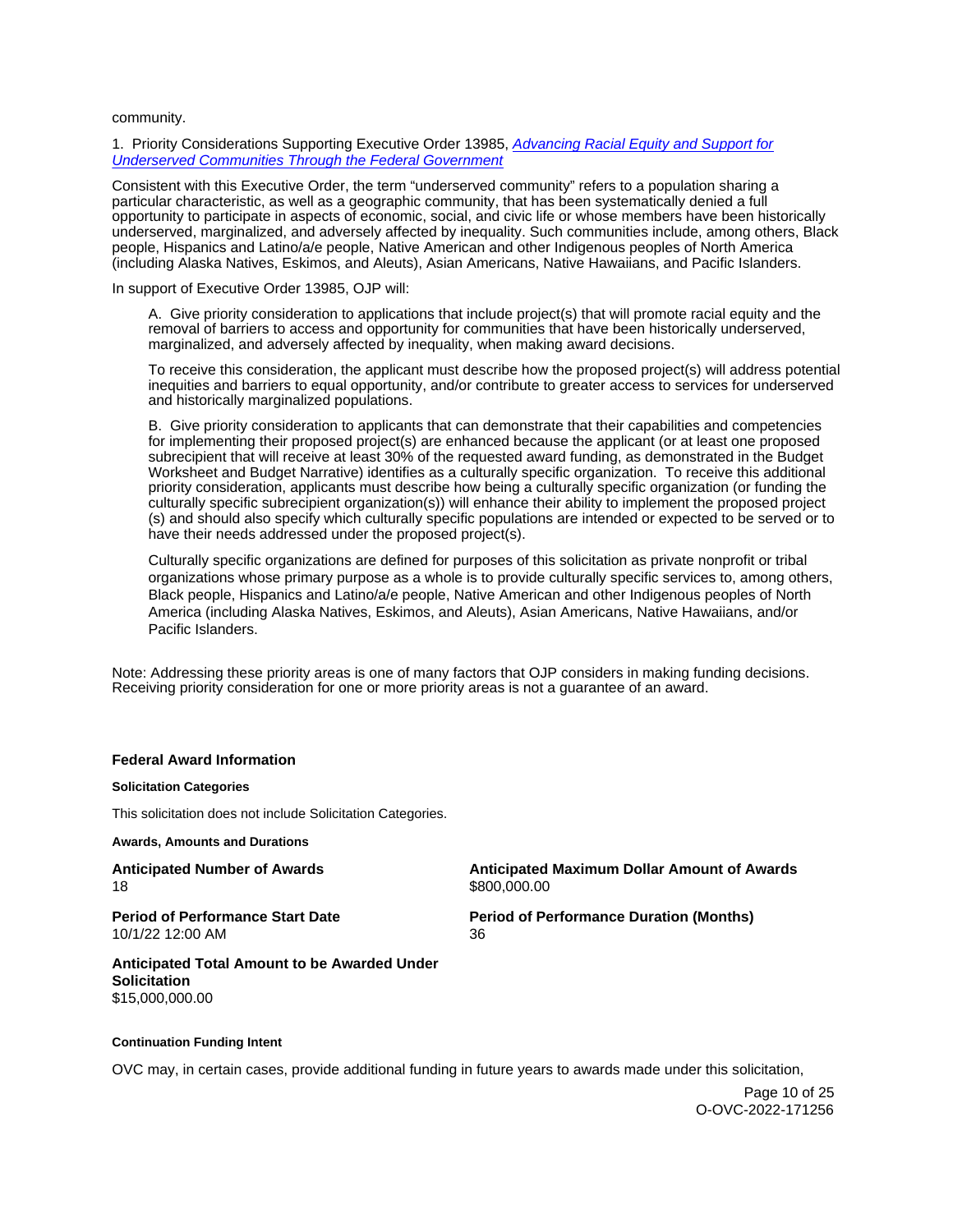<span id="page-9-0"></span>community.

1. Priority Considerations Supporting Executive Order 13985, Advancing Racial Equity and Support for [Underserved Communities Through the Federal Government](https://www.whitehouse.gov/briefing-room/presidential-actions/2021/01/20/executive-order-advancing-racial-equity-and-support-for-underserved-communities-through-the-federal-government/) 

Consistent with this Executive Order, the term "underserved community" refers to a population sharing a particular characteristic, as well as a geographic community, that has been systematically denied a full opportunity to participate in aspects of economic, social, and civic life or whose members have been historically underserved, marginalized, and adversely affected by inequality. Such communities include, among others, Black people, Hispanics and Latino/a/e people, Native American and other Indigenous peoples of North America (including Alaska Natives, Eskimos, and Aleuts), Asian Americans, Native Hawaiians, and Pacific Islanders.

In support of Executive Order 13985, OJP will:

A. Give priority consideration to applications that include project(s) that will promote racial equity and the removal of barriers to access and opportunity for communities that have been historically underserved, marginalized, and adversely affected by inequality, when making award decisions.

To receive this consideration, the applicant must describe how the proposed project(s) will address potential inequities and barriers to equal opportunity, and/or contribute to greater access to services for underserved and historically marginalized populations.

B. Give priority consideration to applicants that can demonstrate that their capabilities and competencies for implementing their proposed project(s) are enhanced because the applicant (or at least one proposed subrecipient that will receive at least 30% of the requested award funding, as demonstrated in the Budget Worksheet and Budget Narrative) identifies as a culturally specific organization. To receive this additional priority consideration, applicants must describe how being a culturally specific organization (or funding the culturally specific subrecipient organization(s)) will enhance their ability to implement the proposed project (s) and should also specify which culturally specific populations are intended or expected to be served or to have their needs addressed under the proposed project(s).

Culturally specific organizations are defined for purposes of this solicitation as private nonprofit or tribal organizations whose primary purpose as a whole is to provide culturally specific services to, among others, Black people, Hispanics and Latino/a/e people, Native American and other Indigenous peoples of North America (including Alaska Natives, Eskimos, and Aleuts), Asian Americans, Native Hawaiians, and/or Pacific Islanders.

Note: Addressing these priority areas is one of many factors that OJP considers in making funding decisions. Receiving priority consideration for one or more priority areas is not a guarantee of an award.

#### **Federal Award Information**

#### **Solicitation Categories**

This solicitation does not include Solicitation Categories.

**Awards, Amounts and Durations** 

**Anticipated Number of Awards Anticipated Maximum Dollar Amount of Awards**  18 \$800,000.00 **Period of Performance Start Date Period of Performance Duration (Months)**  10/1/22 12:00 AM 36 **Anticipated Total Amount to be Awarded Under** 

**Solicitation**  [\\$15,000,000.00](https://15,000,000.00) 

#### **Continuation Funding Intent**

OVC may, in certain cases, provide additional funding in future years to awards made under this solicitation,

Page 10 of 25 O-OVC-2022-171256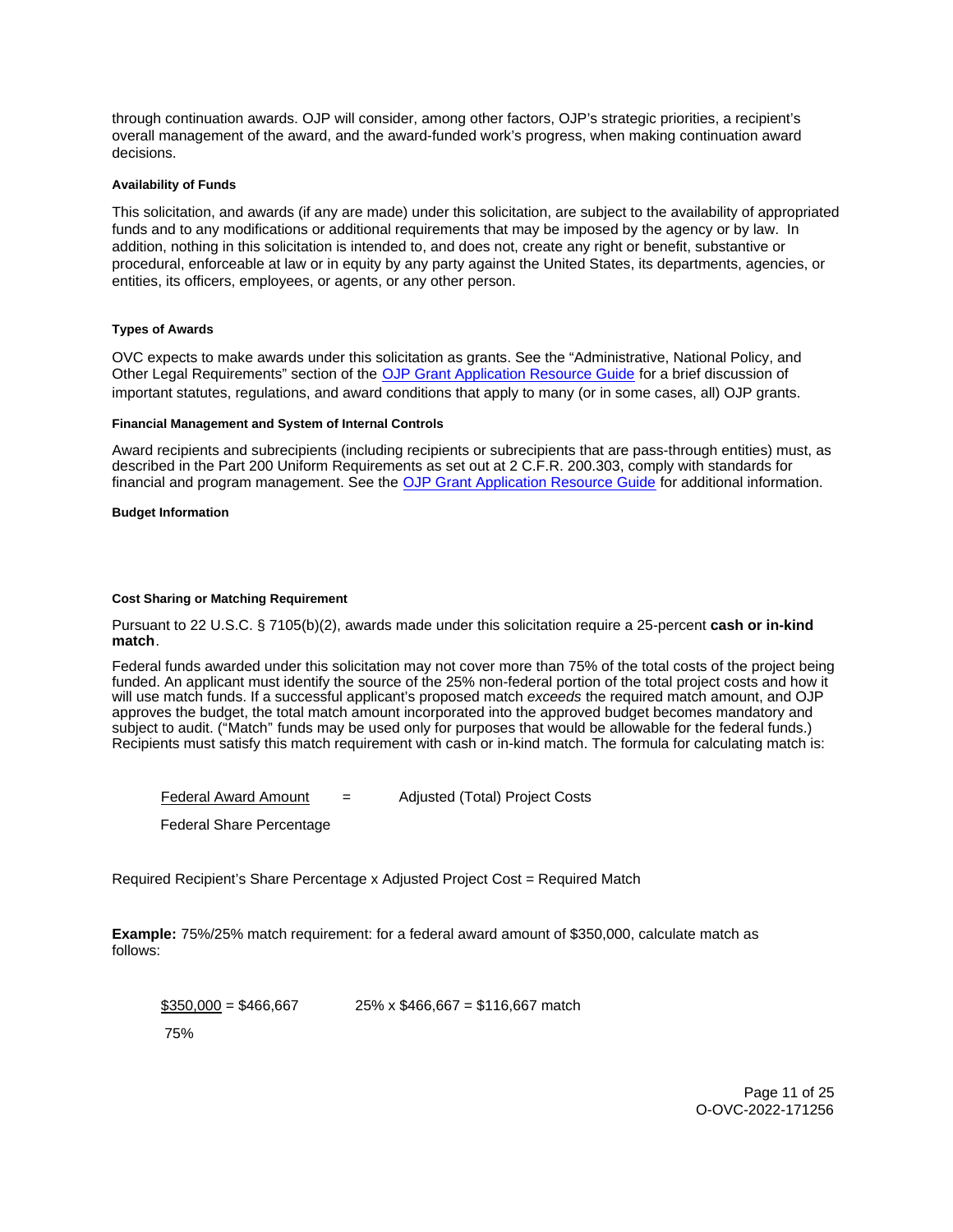<span id="page-10-0"></span>through continuation awards. OJP will consider, among other factors, OJP's strategic priorities, a recipient's overall management of the award, and the award-funded work's progress, when making continuation award decisions.

## **Availability of Funds**

This solicitation, and awards (if any are made) under this solicitation, are subject to the availability of appropriated funds and to any modifications or additional requirements that may be imposed by the agency or by law. In addition, nothing in this solicitation is intended to, and does not, create any right or benefit, substantive or procedural, enforceable at law or in equity by any party against the United States, its departments, agencies, or entities, its officers, employees, or agents, or any other person.

## **Types of Awards**

OVC expects to make awards under this solicitation as grants. See the "Administrative, National Policy, and Other Legal Requirements" section of the [OJP Grant Application Resource Guide](https://ojp.gov/funding/Apply/Resources/Grant-App-Resource-Guide.htm) for a brief discussion of important statutes, regulations, and award conditions that apply to many (or in some cases, all) OJP grants.

#### **Financial Management and System of Internal Controls**

Award recipients and subrecipients (including recipients or subrecipients that are pass-through entities) must, as described in the Part 200 Uniform Requirements as set out at 2 C.F.R. 200.303, comply with standards for financial and program management. See the [OJP Grant Application Resource Guide](https://www.ojp.gov/funding/apply/ojp-grant-application-resource-guide#fm-internal-controls) for additional information.

**Budget Information** 

## **Cost Sharing or Matching Requirement**

Pursuant to 22 U.S.C. § 7105(b)(2), awards made under this solicitation require a 25-percent **cash or in-kind match**.

Federal funds awarded under this solicitation may not cover more than 75% of the total costs of the project being funded. An applicant must identify the source of the 25% non-federal portion of the total project costs and how it will use match funds. If a successful applicant's proposed match exceeds the required match amount, and OJP approves the budget, the total match amount incorporated into the approved budget becomes mandatory and subject to audit. ("Match" funds may be used only for purposes that would be allowable for the federal funds.) Recipients must satisfy this match requirement with cash or in-kind match. The formula for calculating match is:

 $F$ ederal Award Amount  $F$  = Adjusted (Total) Project Costs

Federal Share Percentage

Required Recipient's Share Percentage x Adjusted Project Cost = Required Match

**Example:** 75%/25% match requirement: for a federal award amount of \$350,000, calculate match as follows:

 $$350,000 = $466,667$  25% x \$466,667 = \$116,667 match

75%

Page 11 of 25 O-OVC-2022-171256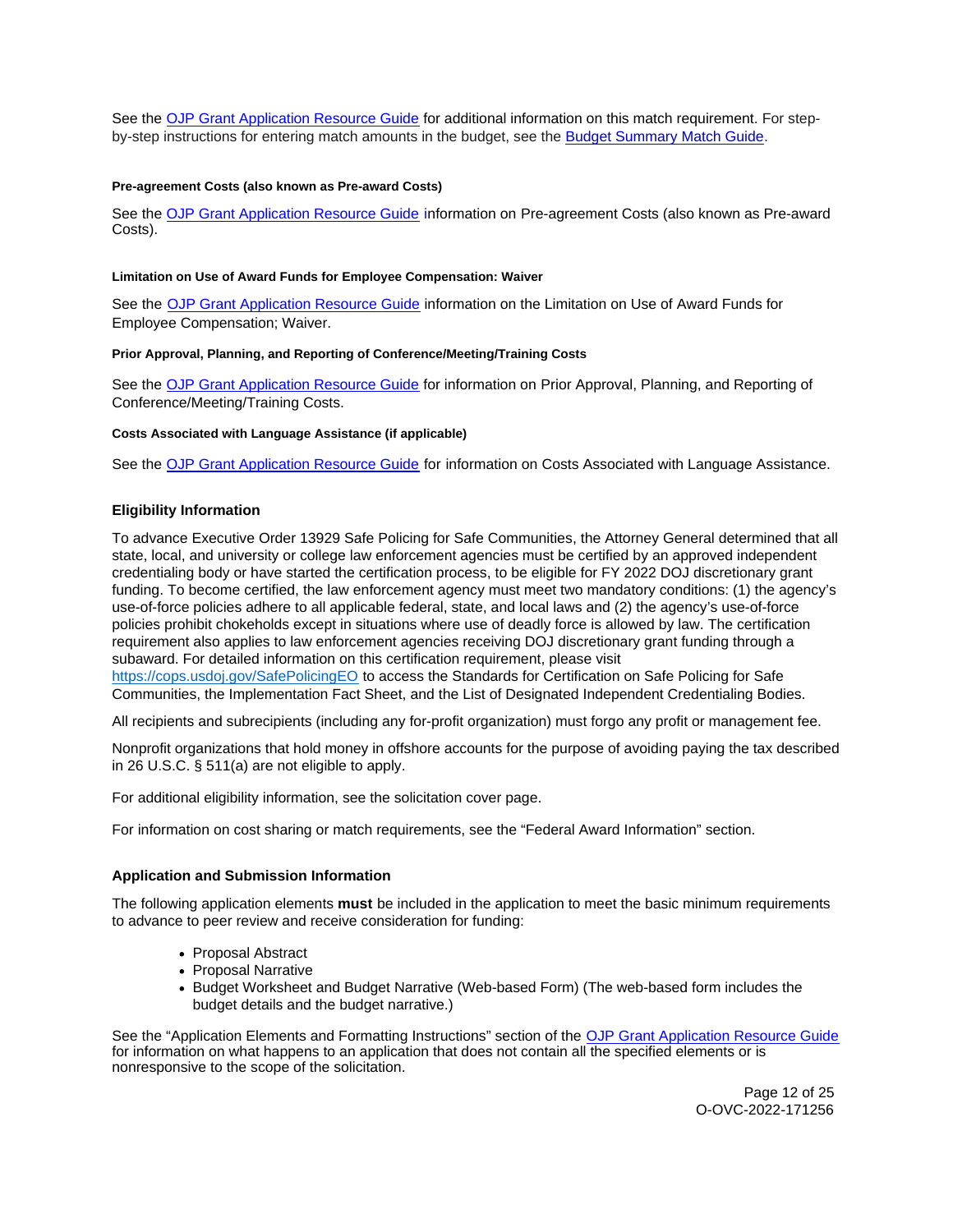<span id="page-11-0"></span>See the [OJP Grant Application Resource Guide](https://www.ojp.gov/funding/Apply/Resources/Grant-App-Resource-Guide.htm) for additional information on this match requirement. For stepby-step instructions for entering match amounts in the budget, see the [Budget Summary Match Guide.](https://justicegrants.usdoj.gov/sites/g/files/xyckuh296/files/media/document/budget-summary-match-guide.pdf)

### **Pre-agreement Costs (also known as Pre-award Costs)**

See the [OJP Grant Application Resource Guide](https://www.ojp.gov/funding/apply/ojp-grant-application-resource-guide#pre-agreement-costs) information on Pre-agreement Costs (also known as Pre-award Costs).

## **Limitation on Use of Award Funds for Employee Compensation: Waiver**

See the [OJP Grant Application Resource Guide](https://www.ojp.gov/funding/apply/ojp-grant-application-resource-guide#limitation-use-award) information on the Limitation on Use of Award Funds for Employee Compensation; Waiver.

## **Prior Approval, Planning, and Reporting of Conference/Meeting/Training Costs**

See the [OJP Grant Application Resource Guide](https://www.ojp.gov/funding/apply/ojp-grant-application-resource-guide#prior-approval) for information on Prior Approval, Planning, and Reporting of Conference/Meeting/Training Costs.

## **Costs Associated with Language Assistance (if applicable)**

See the [OJP Grant Application Resource Guide](https://www.ojp.gov/funding/apply/ojp-grant-application-resource-guide#costs-associated) for information on Costs Associated with Language Assistance.

## **Eligibility Information**

To advance Executive Order 13929 Safe Policing for Safe Communities, the Attorney General determined that all state, local, and university or college law enforcement agencies must be certified by an approved independent credentialing body or have started the certification process, to be eligible for FY 2022 DOJ discretionary grant funding. To become certified, the law enforcement agency must meet two mandatory conditions: (1) the agency's use-of-force policies adhere to all applicable federal, state, and local laws and (2) the agency's use-of-force policies prohibit chokeholds except in situations where use of deadly force is allowed by law. The certification requirement also applies to law enforcement agencies receiving DOJ discretionary grant funding through a subaward. For detailed information on this certification requirement, please visit [https://cops.usdoj.gov/SafePolicingEO](https://cops.usdoj.gov/SafePolicingEO%20) to access the Standards for Certification on Safe Policing for Safe Communities, the Implementation Fact Sheet, and the List of Designated Independent Credentialing Bodies.

All recipients and subrecipients (including any for-profit organization) must forgo any profit or management fee.

Nonprofit organizations that hold money in offshore accounts for the purpose of avoiding paying the tax described in 26 U.S.C. § 511(a) are not eligible to apply.

For additional eligibility information, see the solicitation cover page.

For information on cost sharing or match requirements, see the "Federal Award Information" section.

## **Application and Submission Information**

The following application elements **must** be included in the application to meet the basic minimum requirements to advance to peer review and receive consideration for funding:

- Proposal Abstract
- Proposal Narrative
- Budget Worksheet and Budget Narrative (Web-based Form) (The web-based form includes the budget details and the budget narrative.)

See the "Application Elements and Formatting Instructions" section of the [OJP Grant Application Resource Guide](https://www.ojp.gov/funding/apply/ojp-grant-application-resource-guide#application-elements)  for information on what happens to an application that does not contain all the specified elements or is nonresponsive to the scope of the solicitation.

> Page 12 of 25 O-OVC-2022-171256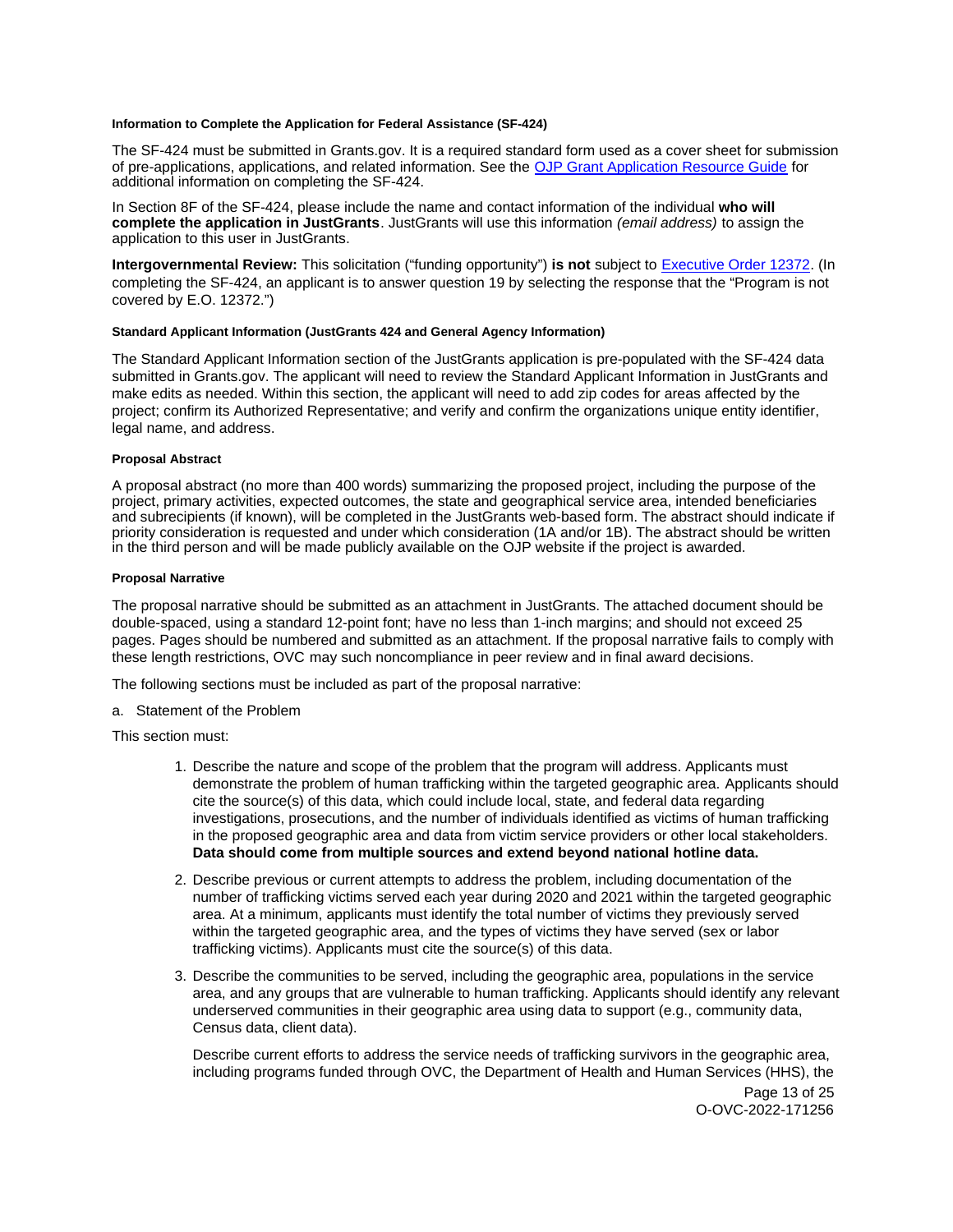#### <span id="page-12-0"></span>**Information to Complete the Application for Federal Assistance (SF-424)**

The SF-424 must be submitted in [Grants.gov](https://Grants.gov). It is a required standard form used as a cover sheet for submission of pre-applications, applications, and related information. See the [OJP Grant Application Resource Guide](https://www.ojp.gov/funding/Apply/Resources/Grant-App-Resource-Guide.htm) for additional information on completing the SF-424.

In Section 8F of the SF-424, please include the name and contact information of the individual **who will complete the application in JustGrants**. JustGrants will use this information (email address) to assign the application to this user in JustGrants.

**Intergovernmental Review:** This solicitation ("funding opportunity") **is not** subject to [Executive Order 12372.](https://www.archives.gov/federal-register/codification/executive-order/12372.html) (In completing the SF-424, an applicant is to answer question 19 by selecting the response that the "Program is not covered by E.O. 12372.")

## **Standard Applicant Information (JustGrants 424 and General Agency Information)**

The Standard Applicant Information section of the JustGrants application is pre-populated with the SF-424 data submitted in [Grants.gov.](https://Grants.gov) The applicant will need to review the Standard Applicant Information in JustGrants and make edits as needed. Within this section, the applicant will need to add zip codes for areas affected by the project; confirm its Authorized Representative; and verify and confirm the organizations unique entity identifier, legal name, and address.

## **Proposal Abstract**

A proposal abstract (no more than 400 words) summarizing the proposed project, including the purpose of the project, primary activities, expected outcomes, the state and geographical service area, intended beneficiaries and subrecipients (if known), will be completed in the JustGrants web-based form. The abstract should indicate if priority consideration is requested and under which consideration (1A and/or 1B). The abstract should be written in the third person and will be made publicly available on the OJP website if the project is awarded.

## **Proposal Narrative**

The proposal narrative should be submitted as an attachment in JustGrants. The attached document should be double-spaced, using a standard 12-point font; have no less than 1-inch margins; and should not exceed 25 pages. Pages should be numbered and submitted as an attachment. If the proposal narrative fails to comply with these length restrictions, OVC may such noncompliance in peer review and in final award decisions.

The following sections must be included as part of the proposal narrative:

a. Statement of the Problem

This section must:

- 1. Describe the nature and scope of the problem that the program will address. Applicants must demonstrate the problem of human trafficking within the targeted geographic area. Applicants should cite the source(s) of this data, which could include local, state, and federal data regarding investigations, prosecutions, and the number of individuals identified as victims of human trafficking in the proposed geographic area and data from victim service providers or other local stakeholders. **Data should come from multiple sources and extend beyond national hotline data.**
- 2. Describe previous or current attempts to address the problem, including documentation of the number of trafficking victims served each year during 2020 and 2021 within the targeted geographic area. At a minimum, applicants must identify the total number of victims they previously served within the targeted geographic area, and the types of victims they have served (sex or labor trafficking victims). Applicants must cite the source(s) of this data.
- 3. Describe the communities to be served, including the geographic area, populations in the service area, and any groups that are vulnerable to human trafficking. Applicants should identify any relevant underserved communities in their geographic area using data to support (e.g., community data, Census data, client data).

Describe current efforts to address the service needs of trafficking survivors in the geographic area, including programs funded through OVC, the Department of Health and Human Services (HHS), the

Page 13 of 25 O-OVC-2022-171256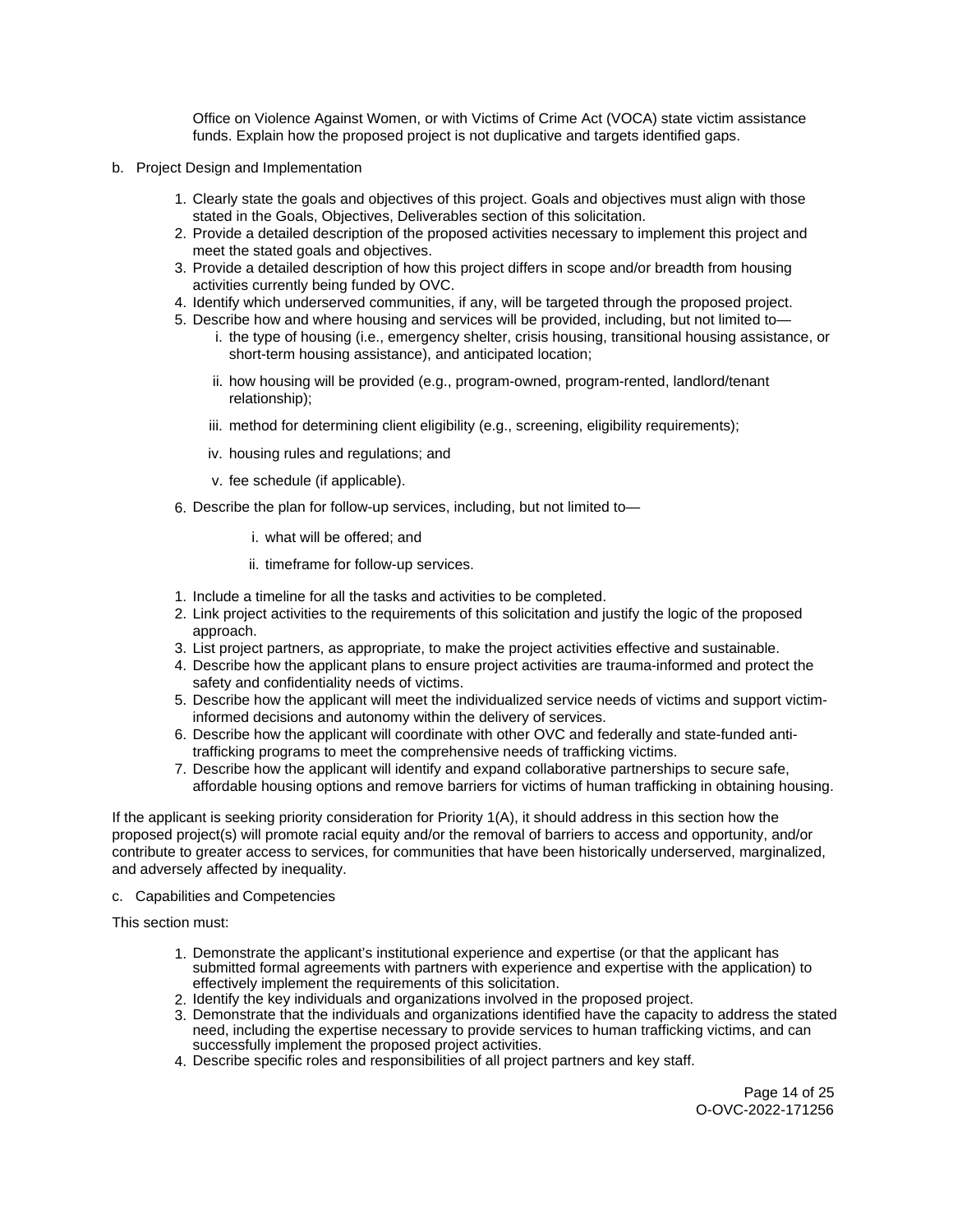Office on Violence Against Women, or with Victims of Crime Act (VOCA) state victim assistance funds. Explain how the proposed project is not duplicative and targets identified gaps.

- b. Project Design and Implementation
	- 1. Clearly state the goals and objectives of this project. Goals and objectives must align with those stated in the Goals, Objectives, Deliverables section of this solicitation.
	- 2. Provide a detailed description of the proposed activities necessary to implement this project and meet the stated goals and objectives.
	- 3. Provide a detailed description of how this project differs in scope and/or breadth from housing activities currently being funded by OVC.
	- 4. Identify which underserved communities, if any, will be targeted through the proposed project.
	- 5. Describe how and where housing and services will be provided, including, but not limited to i. the type of housing (i.e., emergency shelter, crisis housing, transitional housing assistance, or short-term housing assistance), and anticipated location;
		- ii. how housing will be provided (e.g., program-owned, program-rented, landlord/tenant relationship);
		- iii. method for determining client eligibility (e.g., screening, eligibility requirements);
		- iv. housing rules and regulations; and
		- v. fee schedule (if applicable).
	- 6. Describe the plan for follow-up services, including, but not limited to
		- i. what will be offered; and
		- ii. timeframe for follow-up services.
	- 1. Include a timeline for all the tasks and activities to be completed.
	- 2. Link project activities to the requirements of this solicitation and justify the logic of the proposed approach.
	- 3. List project partners, as appropriate, to make the project activities effective and sustainable.
	- 4. Describe how the applicant plans to ensure project activities are trauma-informed and protect the safety and confidentiality needs of victims.
	- 5. Describe how the applicant will meet the individualized service needs of victims and support victiminformed decisions and autonomy within the delivery of services.
	- 6. Describe how the applicant will coordinate with other OVC and federally and state-funded antitrafficking programs to meet the comprehensive needs of trafficking victims.
	- 7. Describe how the applicant will identify and expand collaborative partnerships to secure safe, affordable housing options and remove barriers for victims of human trafficking in obtaining housing.

If the applicant is seeking priority consideration for Priority 1(A), it should address in this section how the proposed project(s) will promote racial equity and/or the removal of barriers to access and opportunity, and/or contribute to greater access to services, for communities that have been historically underserved, marginalized, and adversely affected by inequality.

c. Capabilities and Competencies

This section must:

- 1. Demonstrate the applicant's institutional experience and expertise (or that the applicant has submitted formal agreements with partners with experience and expertise with the application) to effectively implement the requirements of this solicitation.
- 2. Identify the key individuals and organizations involved in the proposed project.
- 3. Demonstrate that the individuals and organizations identified have the capacity to address the stated need, including the expertise necessary to provide services to human trafficking victims, and can successfully implement the proposed project activities.
- 4. Describe specific roles and responsibilities of all project partners and key staff.

Page 14 of 25 O-OVC-2022-171256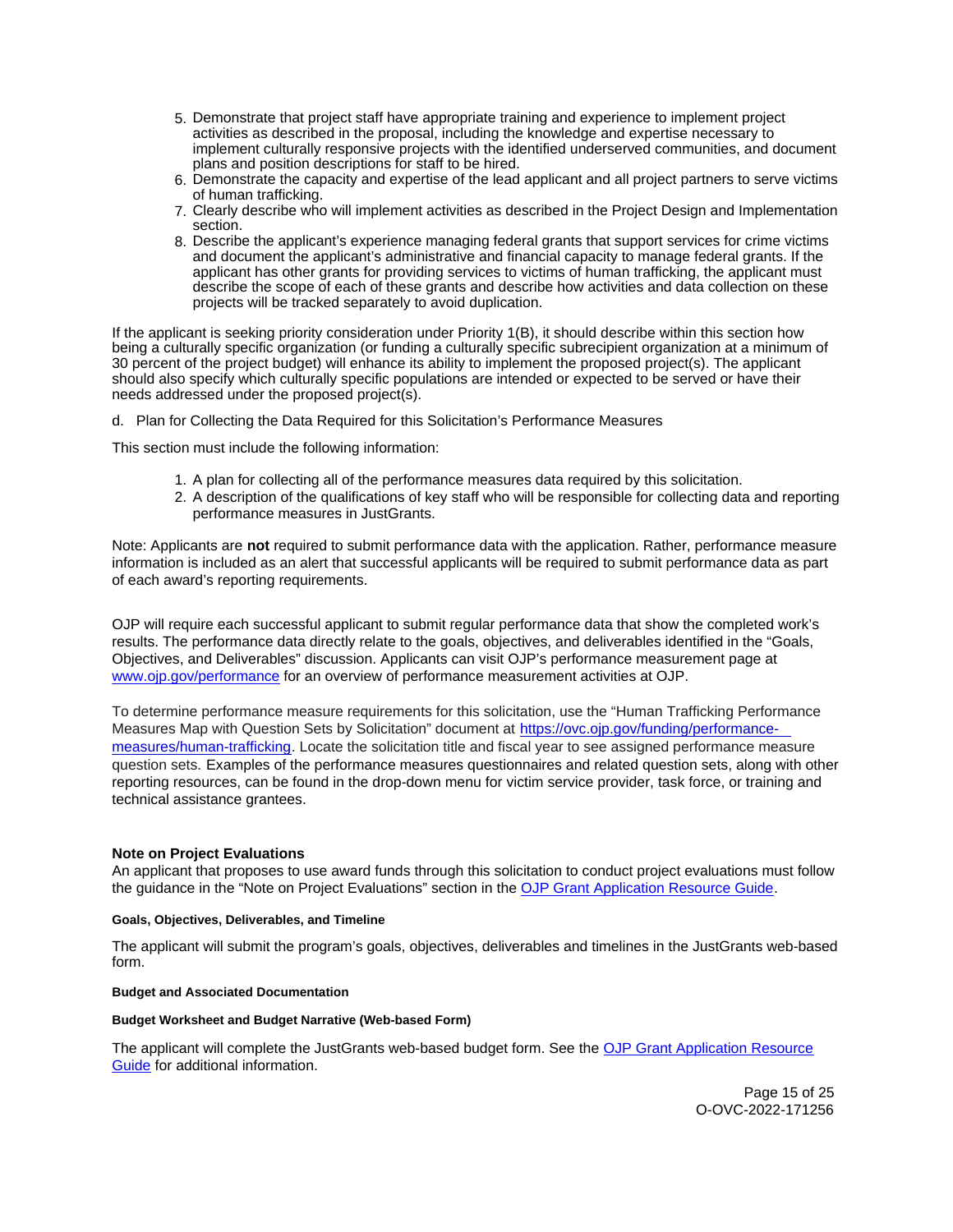- <span id="page-14-0"></span>5. Demonstrate that project staff have appropriate training and experience to implement project activities as described in the proposal, including the knowledge and expertise necessary to implement culturally responsive projects with the identified underserved communities, and document plans and position descriptions for staff to be hired.
- 6. Demonstrate the capacity and expertise of the lead applicant and all project partners to serve victims of human trafficking.
- 7. Clearly describe who will implement activities as described in the Project Design and Implementation section.
- 8. Describe the applicant's experience managing federal grants that support services for crime victims and document the applicant's administrative and financial capacity to manage federal grants. If the applicant has other grants for providing services to victims of human trafficking, the applicant must describe the scope of each of these grants and describe how activities and data collection on these projects will be tracked separately to avoid duplication.

If the applicant is seeking priority consideration under Priority 1(B), it should describe within this section how being a culturally specific organization (or funding a culturally specific subrecipient organization at a minimum of 30 percent of the project budget) will enhance its ability to implement the proposed project(s). The applicant should also specify which culturally specific populations are intended or expected to be served or have their needs addressed under the proposed project(s).

d. Plan for Collecting the Data Required for this Solicitation's Performance Measures

This section must include the following information:

- 1. A plan for collecting all of the performance measures data required by this solicitation.
- 2. A description of the qualifications of key staff who will be responsible for collecting data and reporting performance measures in JustGrants.

Note: Applicants are **not** required to submit performance data with the application. Rather, performance measure information is included as an alert that successful applicants will be required to submit performance data as part of each award's reporting requirements.

OJP will require each successful applicant to submit regular performance data that show the completed work's results. The performance data directly relate to the goals, objectives, and deliverables identified in the "Goals, Objectives, and Deliverables" discussion. Applicants can visit OJP's performance measurement page at [www.ojp.gov/performance](https://www.ojp.gov/performance) for an overview of performance measurement activities at OJP.

To determine performance measure requirements for this solicitation, use the "Human Trafficking Performance Measures Map with Question Sets by Solicitation" document at [https://ovc.ojp.gov/funding/performance](https://ovc.ojp.gov/funding/performance-measures/human-trafficking)[measures/human-trafficking.](https://ovc.ojp.gov/funding/performance-measures/human-trafficking) Locate the solicitation title and fiscal year to see assigned performance measure question sets. Examples of the performance measures questionnaires and related question sets, along with other reporting resources, can be found in the drop-down menu for victim service provider, task force, or training and technical assistance grantees.

#### **Note on Project Evaluations**

An applicant that proposes to use award funds through this solicitation to conduct project evaluations must follow the guidance in the "Note on Project Evaluations" section in the [OJP Grant Application Resource Guide.](https://www.ojp.gov/funding/Apply/Resources/Grant-App-Resource-Guide.htm)

#### **Goals, Objectives, Deliverables, and Timeline**

The applicant will submit the program's goals, objectives, deliverables and timelines in the JustGrants web-based form.

#### **Budget and Associated Documentation**

#### **Budget Worksheet and Budget Narrative (Web-based Form)**

The applicant will complete the JustGrants web-based budget form. See the [OJP Grant Application Resource](https://www.ojp.gov/funding/apply/ojp-grant-application-resource-guide#budget-prep)  [Guide](https://www.ojp.gov/funding/apply/ojp-grant-application-resource-guide#budget-prep) for additional information.

> Page 15 of 25 O-OVC-2022-171256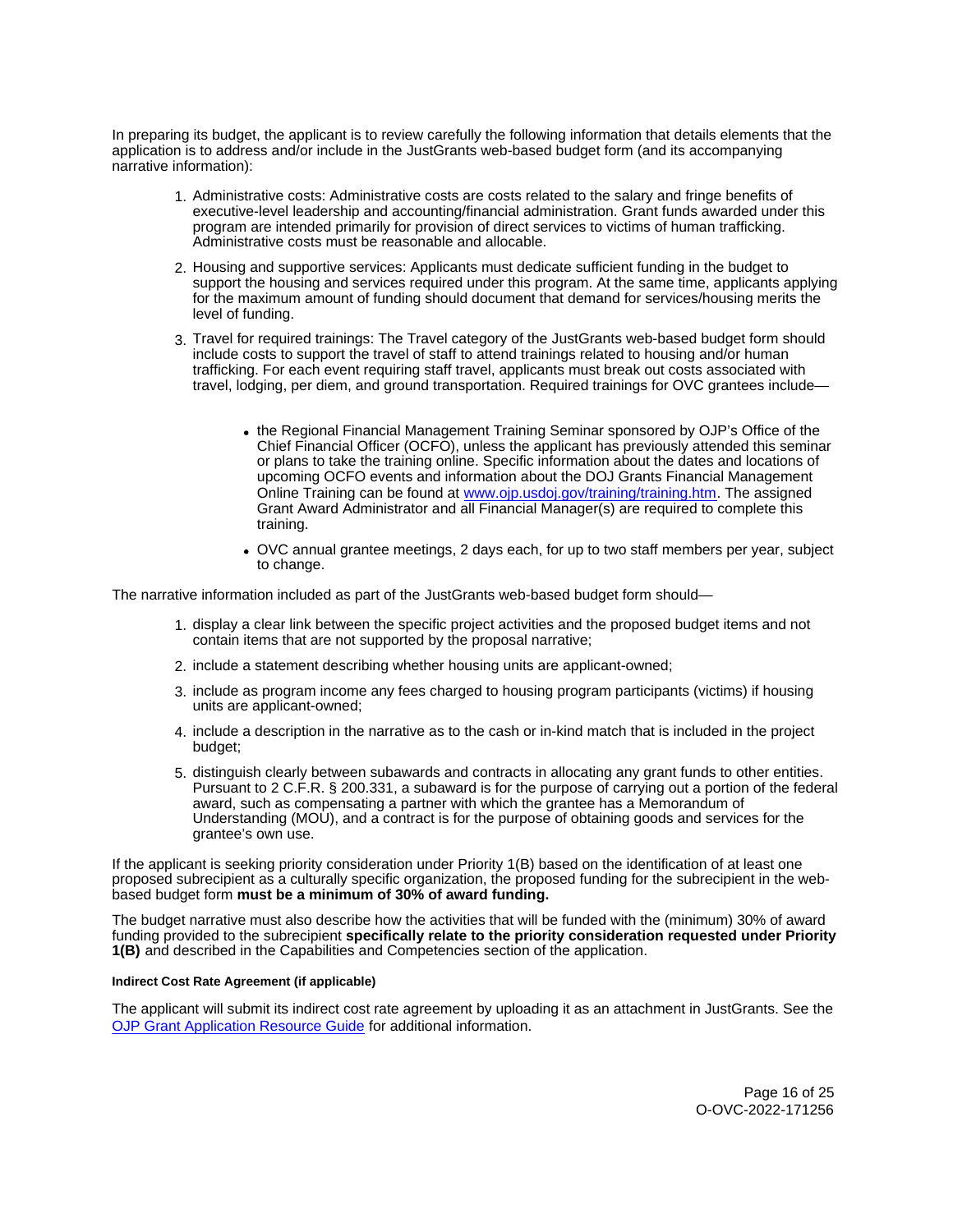<span id="page-15-0"></span>In preparing its budget, the applicant is to review carefully the following information that details elements that the application is to address and/or include in the JustGrants web-based budget form (and its accompanying narrative information):

- 1. Administrative costs: Administrative costs are costs related to the salary and fringe benefits of executive-level leadership and accounting/financial administration. Grant funds awarded under this program are intended primarily for provision of direct services to victims of human trafficking. Administrative costs must be reasonable and allocable.
- 2. Housing and supportive services: Applicants must dedicate sufficient funding in the budget to support the housing and services required under this program. At the same time, applicants applying for the maximum amount of funding should document that demand for services/housing merits the level of funding.
- 3. Travel for required trainings: The Travel category of the JustGrants web-based budget form should include costs to support the travel of staff to attend trainings related to housing and/or human trafficking. For each event requiring staff travel, applicants must break out costs associated with travel, lodging, per diem, and ground transportation. Required trainings for OVC grantees include
	- the Regional Financial Management Training Seminar sponsored by OJP's Office of the Chief Financial Officer (OCFO), unless the applicant has previously attended this seminar or plans to take the training online. Specific information about the dates and locations of upcoming OCFO events and information about the DOJ Grants Financial Management Online Training can be found at [www.ojp.usdoj.gov/training/training.htm.](http://www.ojp.usdoj.gov/training/training.htm) The assigned Grant Award Administrator and all Financial Manager(s) are required to complete this training.
	- OVC annual grantee meetings, 2 days each, for up to two staff members per year, subject to change.

The narrative information included as part of the JustGrants web-based budget form should—

- 1. display a clear link between the specific project activities and the proposed budget items and not contain items that are not supported by the proposal narrative;
- 2. include a statement describing whether housing units are applicant-owned;
- 3. include as program income any fees charged to housing program participants (victims) if housing units are applicant-owned;
- 4. include a description in the narrative as to the cash or in-kind match that is included in the project budget;
- 5. distinguish clearly between subawards and contracts in allocating any grant funds to other entities. Pursuant to 2 C.F.R. § 200.331, a subaward is for the purpose of carrying out a portion of the federal award, such as compensating a partner with which the grantee has a Memorandum of Understanding (MOU), and a contract is for the purpose of obtaining goods and services for the grantee's own use.

If the applicant is seeking priority consideration under Priority 1(B) based on the identification of at least one proposed subrecipient as a culturally specific organization, the proposed funding for the subrecipient in the webbased budget form **must be a minimum of 30% of award funding.** 

The budget narrative must also describe how the activities that will be funded with the (minimum) 30% of award funding provided to the subrecipient **specifically relate to the priority consideration requested under Priority 1(B)** and described in the Capabilities and Competencies section of the application.

#### **Indirect Cost Rate Agreement (if applicable)**

The applicant will submit its indirect cost rate agreement by uploading it as an attachment in JustGrants. See the [OJP Grant Application Resource Guide](https://www.ojp.gov/funding/apply/ojp-grant-application-resource-guide#indirect-cost) for additional information.

> Page 16 of 25 O-OVC-2022-171256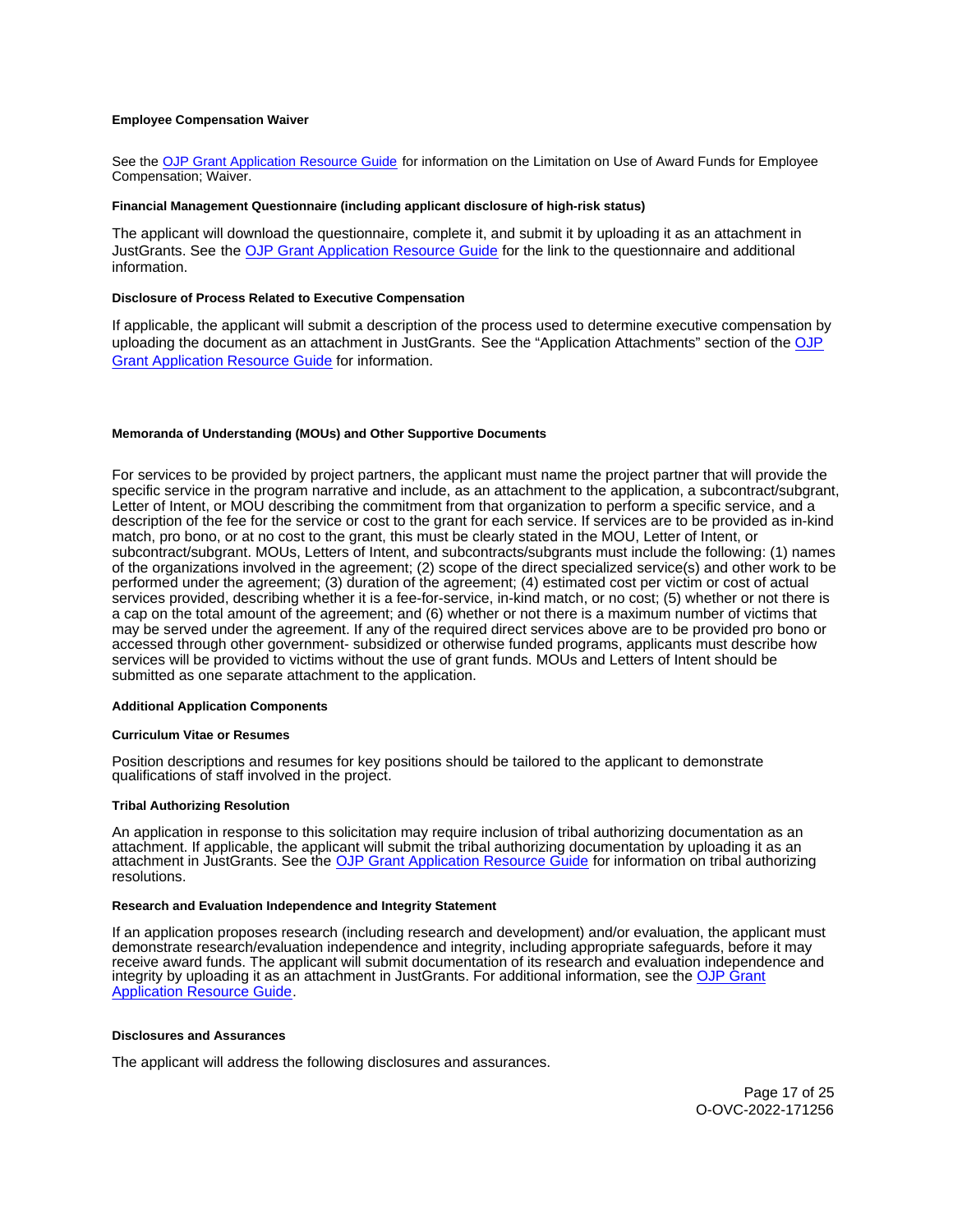#### <span id="page-16-0"></span>**Employee Compensation Waiver**

See the [OJP Grant Application Resource Guide](https://www.ojp.gov/funding/apply/ojp-grant-application-resource-guide#limitation-use-award) for information on the Limitation on Use of Award Funds for Employee Compensation; Waiver.

#### **Financial Management Questionnaire (including applicant disclosure of high-risk status)**

The applicant will download the questionnaire, complete it, and submit it by uploading it as an attachment in JustGrants. See the [OJP Grant Application Resource Guide](https://www.ojp.gov/funding/apply/ojp-grant-application-resource-guide#fm-internal-controls-questionnaire) for the link to the questionnaire and additional information.

#### **Disclosure of Process Related to Executive Compensation**

If applicable, the applicant will submit a description of the process used to determine executive compensation by uploading the document as an attachment in JustGrants. See the "Application Attachments" section of the OJP [Grant Application Resource Guide](https://www.ojp.gov/funding/apply/ojp-grant-application-resource-guide#disclosure-process-executive) for information.

#### **Memoranda of Understanding (MOUs) and Other Supportive Documents**

For services to be provided by project partners, the applicant must name the project partner that will provide the specific service in the program narrative and include, as an attachment to the application, a subcontract/subgrant, Letter of Intent, or MOU describing the commitment from that organization to perform a specific service, and a description of the fee for the service or cost to the grant for each service. If services are to be provided as in-kind match, pro bono, or at no cost to the grant, this must be clearly stated in the MOU, Letter of Intent, or subcontract/subgrant. MOUs, Letters of Intent, and subcontracts/subgrants must include the following: (1) names of the organizations involved in the agreement; (2) scope of the direct specialized service(s) and other work to be performed under the agreement; (3) duration of the agreement; (4) estimated cost per victim or cost of actual services provided, describing whether it is a fee-for-service, in-kind match, or no cost; (5) whether or not there is a cap on the total amount of the agreement; and (6) whether or not there is a maximum number of victims that may be served under the agreement. If any of the required direct services above are to be provided pro bono or accessed through other government- subsidized or otherwise funded programs, applicants must describe how services will be provided to victims without the use of grant funds. MOUs and Letters of Intent should be submitted as one separate attachment to the application.

#### **Additional Application Components**

#### **Curriculum Vitae or Resumes**

Position descriptions and resumes for key positions should be tailored to the applicant to demonstrate qualifications of staff involved in the project.

#### **Tribal Authorizing Resolution**

An application in response to this solicitation may require inclusion of tribal authorizing documentation as an attachment. If applicable, the applicant will submit the tribal authorizing documentation by uploading it as an attachment in JustGrants. See the [OJP Grant Application Resource Guide](https://www.ojp.gov/funding/apply/ojp-grant-application-resource-guide#tribal-authorizing-resolution) for information on tribal authorizing resolutions.

#### **Research and Evaluation Independence and Integrity Statement**

If an application proposes research (including research and development) and/or evaluation, the applicant must demonstrate research/evaluation independence and integrity, including appropriate safeguards, before it may receive award funds. The applicant will submit documentation of its research and evaluation independence and integrity by uploading it as an attachment in JustGrants. For additional information, see the OJP Grant [Application Resource Guide.](https://www.ojp.gov/funding/apply/ojp-grant-application-resource-guide#research-evaluation)

#### **Disclosures and Assurances**

The applicant will address the following disclosures and assurances.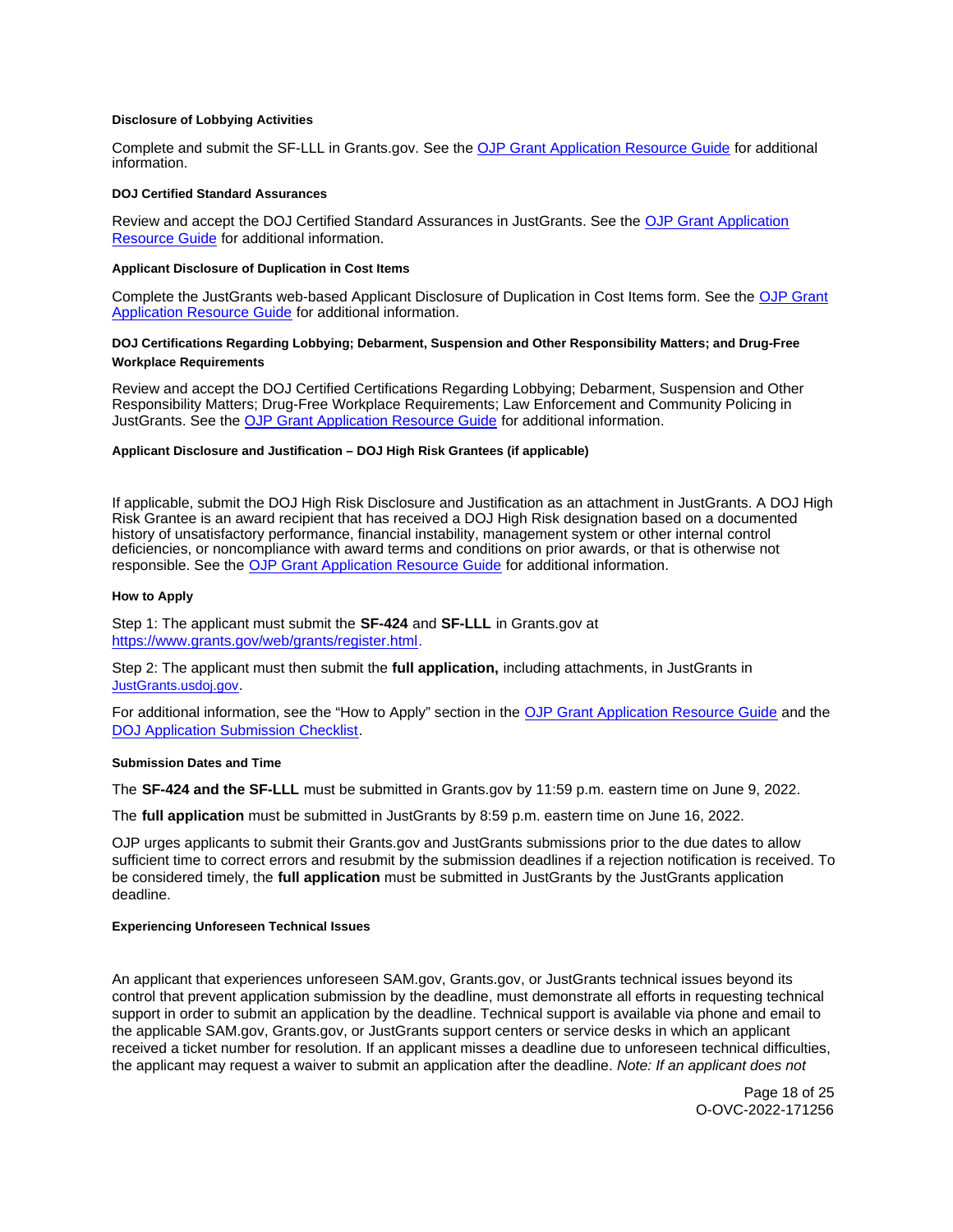#### <span id="page-17-0"></span>**Disclosure of Lobbying Activities**

Complete and submit the SF-LLL in [Grants.gov.](https://Grants.gov) See the [OJP Grant Application Resource Guide](https://www.ojp.gov/funding/apply/ojp-grant-application-resource-guide#disclosure-lobby) for additional information.

#### **DOJ Certified Standard Assurances**

Review and accept the DOJ Certified Standard Assurances in JustGrants. See the [OJP Grant Application](https://www.ojp.gov/funding/apply/ojp-grant-application-resource-guide#administrative)  [Resource Guide](https://www.ojp.gov/funding/apply/ojp-grant-application-resource-guide#administrative) for additional information.

## **Applicant Disclosure of Duplication in Cost Items**

Complete the JustGrants web-based Applicant Disclosure of Duplication in Cost Items form. See the [OJP Grant](https://www.ojp.gov/funding/apply/ojp-grant-application-resource-guide#applicant-disclosure-pending-applications)  [Application Resource Guide](https://www.ojp.gov/funding/apply/ojp-grant-application-resource-guide#applicant-disclosure-pending-applications) for additional information.

## **DOJ Certifications Regarding Lobbying; Debarment, Suspension and Other Responsibility Matters; and Drug-Free Workplace Requirements**

Review and accept the DOJ Certified Certifications Regarding Lobbying; Debarment, Suspension and Other Responsibility Matters; Drug-Free Workplace Requirements; Law Enforcement and Community Policing in JustGrants. See the [OJP Grant Application Resource Guide](https://www.ojp.gov/funding/apply/ojp-grant-application-resource-guide#administrative) for additional information.

#### **Applicant Disclosure and Justification – DOJ High Risk Grantees (if applicable)**

If applicable, submit the DOJ High Risk Disclosure and Justification as an attachment in JustGrants. A DOJ High Risk Grantee is an award recipient that has received a DOJ High Risk designation based on a documented history of unsatisfactory performance, financial instability, management system or other internal control deficiencies, or noncompliance with award terms and conditions on prior awards, or that is otherwise not responsible. See the [OJP Grant Application Resource Guide](https://www.ojp.gov/funding/apply/ojp-grant-application-resource-guide) for additional information.

#### **How to Apply**

Step 1: The applicant must submit the **SF-424** and **SF-LLL** in [Grants.gov](https://Grants.gov) at [https://www.grants.gov/web/grants/register.html.](https://www.grants.gov/web/grants/register.html)

Step 2: The applicant must then submit the **full application,** including attachments, in JustGrants in [JustGrants.usdoj.gov.](https://justicegrants.usdoj.gov/)

For additional information, see the "How to Apply" section in the [OJP Grant Application Resource Guide](https://www.ojp.gov/funding/apply/ojp-grant-application-resource-guide#apply) and the [DOJ Application Submission Checklist.](https://justicegrants.usdoj.gov/sites/g/files/xyckuh296/files/media/document/appln-submission-checklist.pdf)

#### **Submission Dates and Time**

The **SF-424 and the SF-LLL** must be submitted in [Grants.gov](https://Grants.gov) by 11:59 p.m. eastern time on June 9, 2022.

The **full application** must be submitted in JustGrants by 8:59 p.m. eastern time on June 16, 2022.

OJP urges applicants to submit their [Grants.gov](https://Grants.gov) and JustGrants submissions prior to the due dates to allow sufficient time to correct errors and resubmit by the submission deadlines if a rejection notification is received. To be considered timely, the **full application** must be submitted in JustGrants by the JustGrants application deadline.

#### **Experiencing Unforeseen Technical Issues**

An applicant that experiences unforeseen SAM.gov, [Grants.gov,](https://Grants.gov) or JustGrants technical issues beyond its control that prevent application submission by the deadline, must demonstrate all efforts in requesting technical support in order to submit an application by the deadline. Technical support is available via phone and email to the applicable SAM.gov, [Grants.gov,](https://Grants.gov) or JustGrants support centers or service desks in which an applicant received a ticket number for resolution. If an applicant misses a deadline due to unforeseen technical difficulties, the applicant may request a waiver to submit an application after the deadline. Note: If an applicant does not

> Page 18 of 25 O-OVC-2022-171256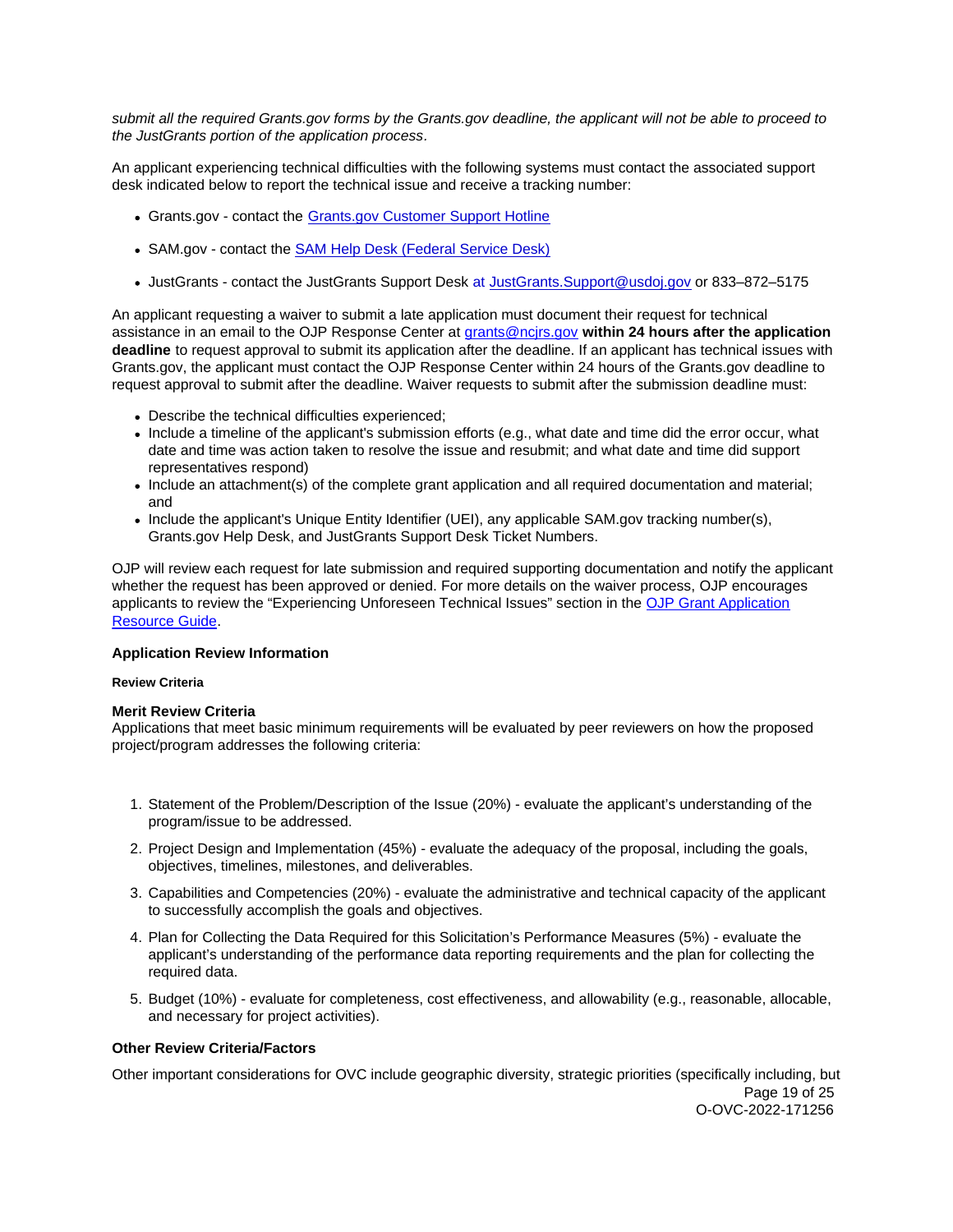<span id="page-18-0"></span>submit all the required [Grants.gov](https://Grants.gov) forms by the [Grants.gov](https://Grants.gov) deadline, the applicant will not be able to proceed to the JustGrants portion of the application process.

An applicant experiencing technical difficulties with the following systems must contact the associated support desk indicated below to report the technical issue and receive a tracking number:

- [Grants.gov](https://Grants.gov)  contact the Grants.gov Customer Support Hotline
- SAM.gov contact the **SAM Help Desk (Federal Service Desk)**
- JustGrants contact the JustGrants Support Desk at [JustGrants.Support@usdoj.gov](mailto:JustGrants.Support@usdoj.gov) or 833–872–5175

An applicant requesting a waiver to submit a late application must document their request for technical assistance in an email to the OJP Response Center at [grants@ncjrs.gov](file:///C:/Users/local_Yehj/INetCache/Content.Outlook/20U4XBR7/grants@ncjrs.gov) **within 24 hours after the application deadline** to request approval to submit its application after the deadline. If an applicant has technical issues with [Grants.gov,](https://Grants.gov) the applicant must contact the OJP Response Center within 24 hours of the [Grants.gov](https://Grants.gov) deadline to request approval to submit after the deadline. Waiver requests to submit after the submission deadline must:

- Describe the technical difficulties experienced;
- Include a timeline of the applicant's submission efforts (e.g., what date and time did the error occur, what date and time was action taken to resolve the issue and resubmit; and what date and time did support representatives respond)
- Include an attachment(s) of the complete grant application and all required documentation and material; and
- Include the applicant's Unique Entity Identifier (UEI), any applicable SAM.gov tracking number(s), [Grants.gov](https://Grants.gov) Help Desk, and JustGrants Support Desk Ticket Numbers.

OJP will review each request for late submission and required supporting documentation and notify the applicant whether the request has been approved or denied. For more details on the waiver process, OJP encourages applicants to review the "Experiencing Unforeseen Technical Issues" section in the [OJP Grant Application](https://www.ojp.gov/funding/apply/ojp-grant-application-resource-guide#experiencing-unforeseen-technical-issues)  [Resource Guide.](https://www.ojp.gov/funding/apply/ojp-grant-application-resource-guide#experiencing-unforeseen-technical-issues)

## **Application Review Information**

## **Review Criteria**

## **Merit Review Criteria**

Applications that meet basic minimum requirements will be evaluated by peer reviewers on how the proposed project/program addresses the following criteria:

- 1. Statement of the Problem/Description of the Issue (20%) evaluate the applicant's understanding of the program/issue to be addressed.
- 2. Project Design and Implementation (45%) evaluate the adequacy of the proposal, including the goals, objectives, timelines, milestones, and deliverables.
- 3. Capabilities and Competencies (20%) evaluate the administrative and technical capacity of the applicant to successfully accomplish the goals and objectives.
- 4. Plan for Collecting the Data Required for this Solicitation's Performance Measures (5%) evaluate the applicant's understanding of the performance data reporting requirements and the plan for collecting the required data.
- 5. Budget (10%) evaluate for completeness, cost effectiveness, and allowability (e.g., reasonable, allocable, and necessary for project activities).

## **Other Review Criteria/Factors**

Other important considerations for OVC include geographic diversity, strategic priorities (specifically including, but Page 19 of 25 O-OVC-2022-171256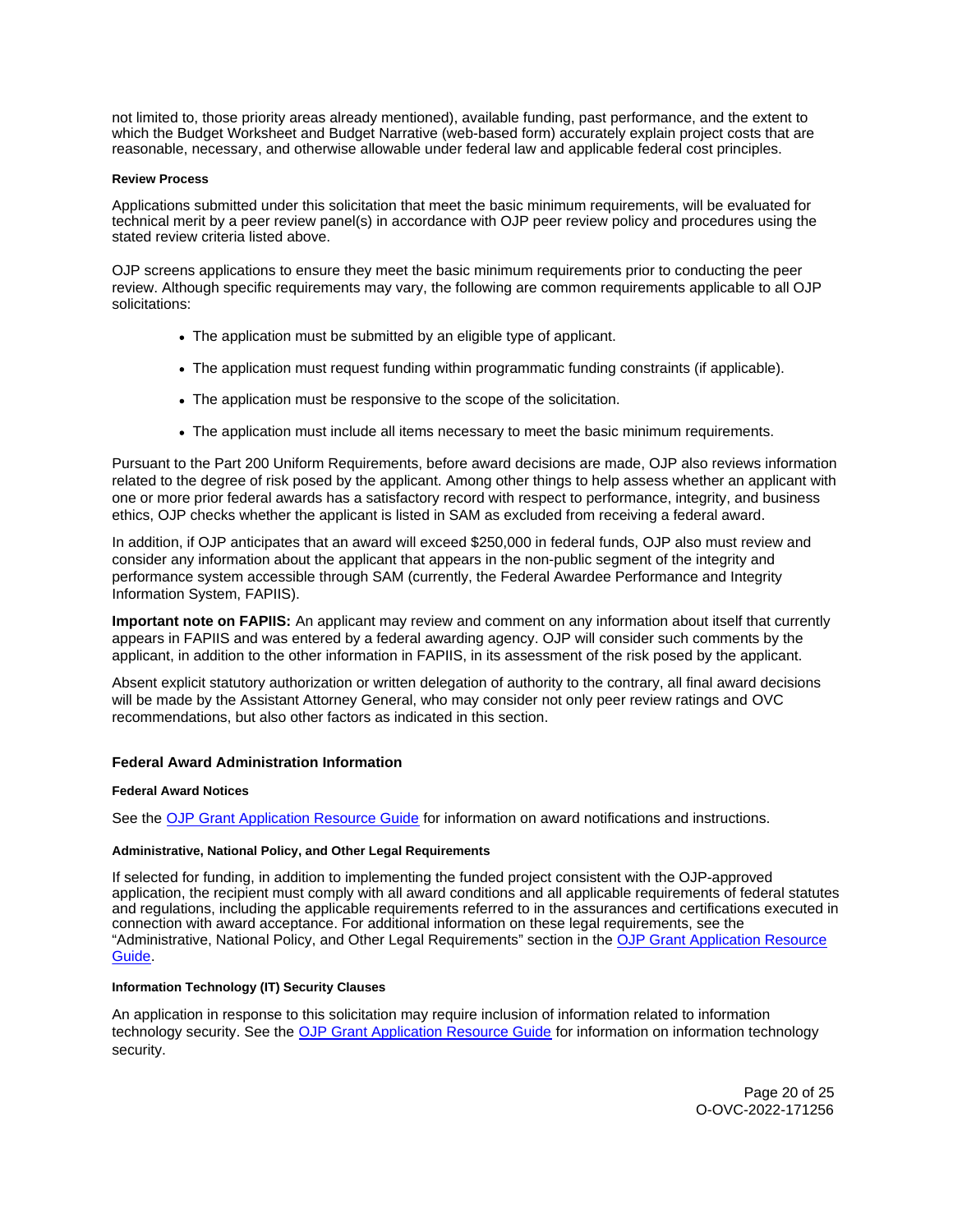<span id="page-19-0"></span>not limited to, those priority areas already mentioned), available funding, past performance, and the extent to which the Budget Worksheet and Budget Narrative (web-based form) accurately explain project costs that are reasonable, necessary, and otherwise allowable under federal law and applicable federal cost principles.

### **Review Process**

Applications submitted under this solicitation that meet the basic minimum requirements, will be evaluated for technical merit by a peer review panel(s) in accordance with OJP peer review policy and procedures using the stated review criteria listed above.

OJP screens applications to ensure they meet the basic minimum requirements prior to conducting the peer review. Although specific requirements may vary, the following are common requirements applicable to all OJP solicitations:

- The application must be submitted by an eligible type of applicant.
- The application must request funding within programmatic funding constraints (if applicable).
- The application must be responsive to the scope of the solicitation.
- The application must include all items necessary to meet the basic minimum requirements.

Pursuant to the Part 200 Uniform Requirements, before award decisions are made, OJP also reviews information related to the degree of risk posed by the applicant. Among other things to help assess whether an applicant with one or more prior federal awards has a satisfactory record with respect to performance, integrity, and business ethics, OJP checks whether the applicant is listed in SAM as excluded from receiving a federal award.

In addition, if OJP anticipates that an award will exceed \$250,000 in federal funds, OJP also must review and consider any information about the applicant that appears in the non-public segment of the integrity and performance system accessible through SAM (currently, the Federal Awardee Performance and Integrity Information System, FAPIIS).

**Important note on FAPIIS:** An applicant may review and comment on any information about itself that currently appears in FAPIIS and was entered by a federal awarding agency. OJP will consider such comments by the applicant, in addition to the other information in FAPIIS, in its assessment of the risk posed by the applicant.

Absent explicit statutory authorization or written delegation of authority to the contrary, all final award decisions will be made by the Assistant Attorney General, who may consider not only peer review ratings and OVC recommendations, but also other factors as indicated in this section.

## **Federal Award Administration Information**

## **Federal Award Notices**

See the [OJP Grant Application Resource Guide](https://www.ojp.gov/funding/apply/ojp-grant-application-resource-guide#federal-award-notices) for information on award notifications and instructions.

## **Administrative, National Policy, and Other Legal Requirements**

If selected for funding, in addition to implementing the funded project consistent with the OJP-approved application, the recipient must comply with all award conditions and all applicable requirements of federal statutes and regulations, including the applicable requirements referred to in the assurances and certifications executed in connection with award acceptance. For additional information on these legal requirements, see the "Administrative, National Policy, and Other Legal Requirements" section in the [OJP Grant Application Resource](https://www.ojp.gov/funding/apply/ojp-grant-application-resource-guide#administrative)  [Guide.](https://www.ojp.gov/funding/apply/ojp-grant-application-resource-guide#administrative)

## **Information Technology (IT) Security Clauses**

An application in response to this solicitation may require inclusion of information related to information technology security. See the [OJP Grant Application Resource Guide](https://www.ojp.gov/funding/apply/ojp-grant-application-resource-guide#information-technology) for information on information technology security.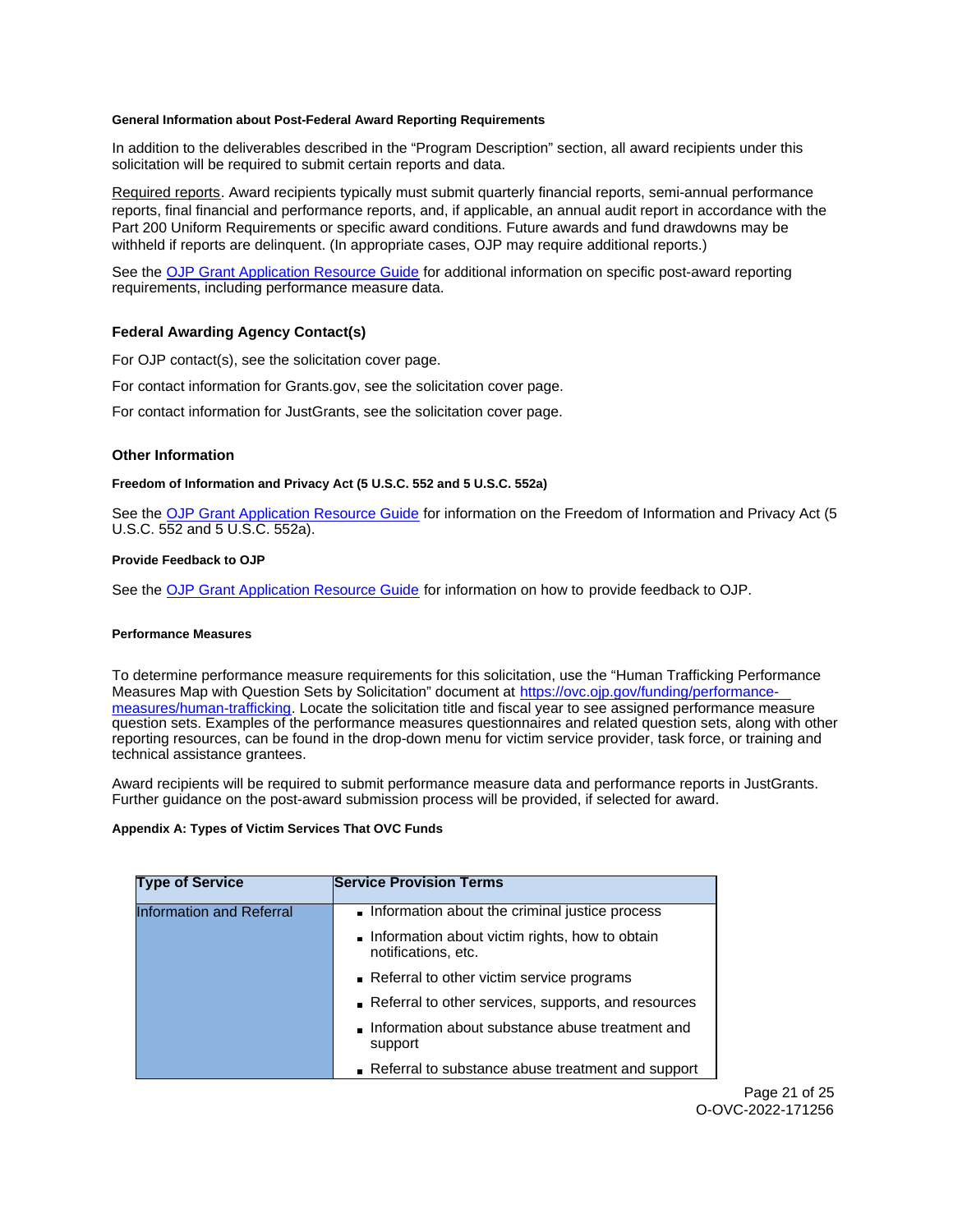### <span id="page-20-0"></span>**General Information about Post-Federal Award Reporting Requirements**

In addition to the deliverables described in the "Program Description" section, all award recipients under this solicitation will be required to submit certain reports and data.

Required reports. Award recipients typically must submit quarterly financial reports, semi-annual performance reports, final financial and performance reports, and, if applicable, an annual audit report in accordance with the Part 200 Uniform Requirements or specific award conditions. Future awards and fund drawdowns may be withheld if reports are delinquent. (In appropriate cases, OJP may require additional reports.)

See the [OJP Grant Application Resource Guide](https://www.ojp.gov/funding/Apply/Resources/Grant-App-Resource-Guide.htm) for additional information on specific post-award reporting requirements, including performance measure data.

## **Federal Awarding Agency Contact(s)**

For OJP contact(s), see the solicitation cover page.

For contact information for [Grants.gov](https://Grants.gov), see the solicitation cover page.

For contact information for JustGrants, see the solicitation cover page.

## **Other Information**

## **Freedom of Information and Privacy Act (5 U.S.C. 552 and 5 U.S.C. 552a)**

See the [OJP Grant Application Resource Guide](https://www.ojp.gov/funding/apply/ojp-grant-application-resource-guide#foia) for information on the Freedom of Information and Privacy Act (5 U.S.C. 552 and 5 U.S.C. 552a).

## **Provide Feedback to OJP**

See the [OJP Grant Application Resource Guide](https://www.ojp.gov/funding/apply/ojp-grant-application-resource-guide#feedback) for information on how to provide feedback to OJP.

#### **Performance Measures**

To determine performance measure requirements for this solicitation, use the "Human Trafficking Performance Measures Map with Question Sets by Solicitation" document at [https://ovc.ojp.gov/funding/performance](https://ovc.ojp.gov/funding/performance-measures/human-trafficking)[measures/human-trafficking.](https://ovc.ojp.gov/funding/performance-measures/human-trafficking) Locate the solicitation title and fiscal year to see assigned performance measure question sets. Examples of the performance measures questionnaires and related question sets, along with other reporting resources, can be found in the drop-down menu for victim service provider, task force, or training and technical assistance grantees.

Award recipients will be required to submit performance measure data and performance reports in JustGrants. Further guidance on the post-award submission process will be provided, if selected for award.

### **Appendix A: Types of Victim Services That OVC Funds**

| <b>Type of Service</b>          | <b>Service Provision Terms</b>                                        |
|---------------------------------|-----------------------------------------------------------------------|
| <b>Information and Referral</b> | Information about the criminal justice process                        |
|                                 | Information about victim rights, how to obtain<br>notifications, etc. |
|                                 | Referral to other victim service programs                             |
|                                 | Referral to other services, supports, and resources                   |
|                                 | lnformation about substance abuse treatment and<br>support            |
|                                 | Referral to substance abuse treatment and support                     |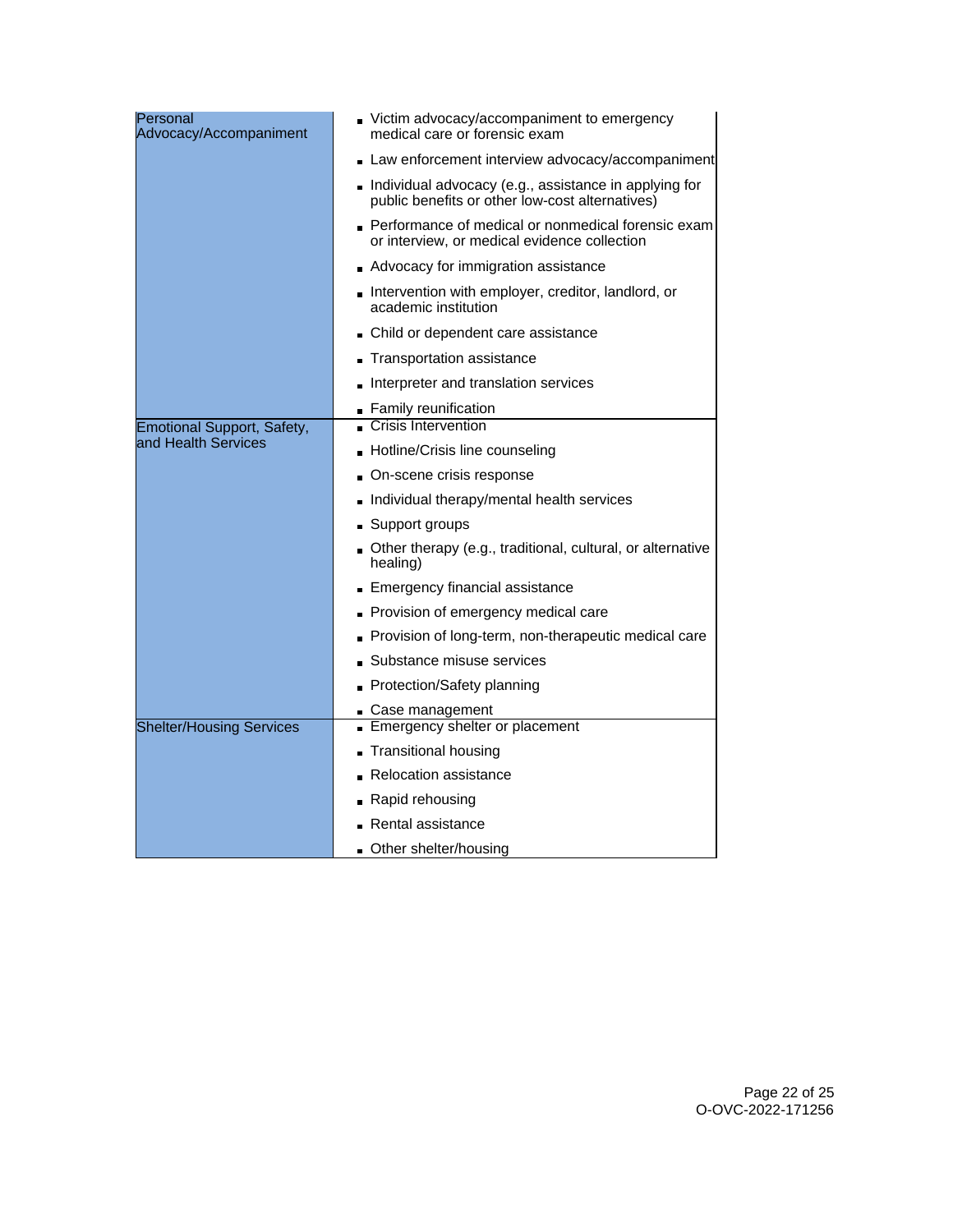| Personal<br>Advocacy/Accompaniment | Victim advocacy/accompaniment to emergency<br>medical care or forensic exam                              |
|------------------------------------|----------------------------------------------------------------------------------------------------------|
|                                    | Law enforcement interview advocacy/accompaniment                                                         |
|                                    | Individual advocacy (e.g., assistance in applying for<br>public benefits or other low-cost alternatives) |
|                                    | Performance of medical or nonmedical forensic exam<br>or interview, or medical evidence collection       |
|                                    | Advocacy for immigration assistance                                                                      |
|                                    | Intervention with employer, creditor, landlord, or<br>academic institution                               |
|                                    | • Child or dependent care assistance                                                                     |
|                                    | Transportation assistance                                                                                |
|                                    | Interpreter and translation services                                                                     |
|                                    | Family reunification                                                                                     |
| Emotional Support, Safety,         | <b>Crisis Intervention</b>                                                                               |
| land Health Services               | Hotline/Crisis line counseling                                                                           |
|                                    | On-scene crisis response                                                                                 |
|                                    | Individual therapy/mental health services                                                                |
|                                    | ■ Support groups                                                                                         |
|                                    | Other therapy (e.g., traditional, cultural, or alternative<br>healing)                                   |
|                                    | Emergency financial assistance                                                                           |
|                                    | Provision of emergency medical care                                                                      |
|                                    | Provision of long-term, non-therapeutic medical care                                                     |
|                                    | Substance misuse services                                                                                |
|                                    | Protection/Safety planning                                                                               |
|                                    | Case management                                                                                          |
| <b>Shelter/Housing Services</b>    | Emergency shelter or placement                                                                           |
|                                    | <b>Transitional housing</b>                                                                              |
|                                    | <b>Relocation assistance</b>                                                                             |
|                                    | Rapid rehousing                                                                                          |
|                                    | Rental assistance                                                                                        |
|                                    | Other shelter/housing                                                                                    |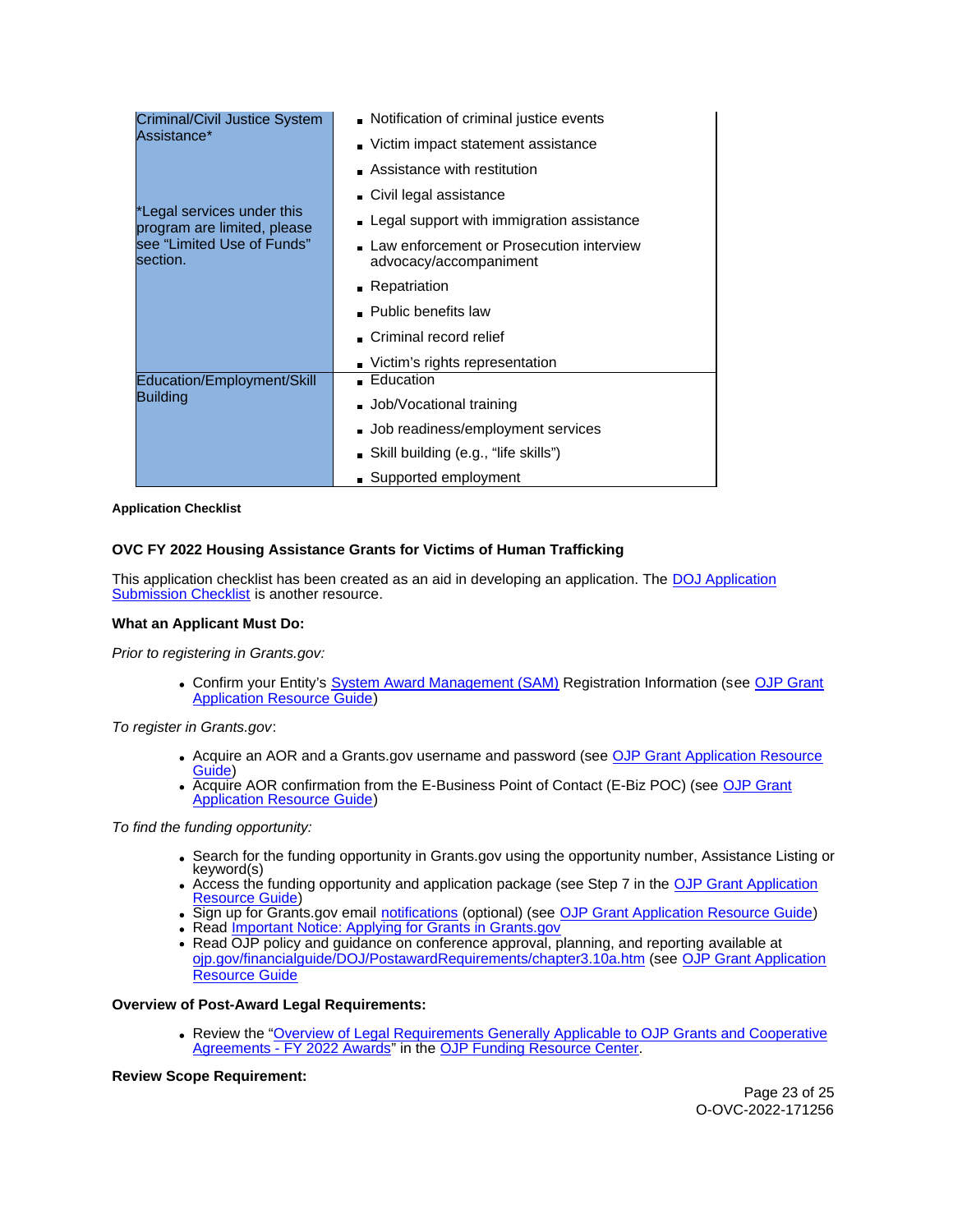<span id="page-22-0"></span>

| Criminal/Civil Justice System<br>Assistance*              | Notification of criminal justice events                            |
|-----------------------------------------------------------|--------------------------------------------------------------------|
|                                                           | Victim impact statement assistance                                 |
|                                                           | $\blacksquare$ Assistance with restitution                         |
|                                                           | Civil legal assistance                                             |
| *Legal services under this<br>program are limited, please | Legal support with immigration assistance                          |
| see "Limited Use of Funds"<br>section.                    | Law enforcement or Prosecution interview<br>advocacy/accompaniment |
|                                                           | • Repatriation                                                     |
|                                                           | • Public benefits law                                              |
|                                                           | Criminal record relief                                             |
|                                                           | Victim's rights representation                                     |
| Education/Employment/Skill<br>Building                    | ■ Education                                                        |
|                                                           | Job/Vocational training                                            |
|                                                           | Job readiness/employment services                                  |
|                                                           | Skill building (e.g., "life skills")                               |
|                                                           | ■ Supported employment                                             |

**Application Checklist** 

# **OVC FY 2022 Housing Assistance Grants for Victims of Human Trafficking**

This application checklist has been created as an aid in developing an application. The [DOJ Application](https://justicegrants.usdoj.gov/sites/g/files/xyckuh296/files/media/document/appln-submission-checklist.pdf)  [Submission Checklist](https://justicegrants.usdoj.gov/sites/g/files/xyckuh296/files/media/document/appln-submission-checklist.pdf) is another resource.

## **What an Applicant Must Do:**

Prior to registering in [Grants.gov](https://Grants.gov):

Confirm your Entity's [System Award Management \(SAM\)](https://sam.gov/SAM/) Registration Information (see [OJP Grant](https://www.ojp.gov/funding/apply/ojp-grant-application-resource-guide#apply)  [Application Resource Guide\)](https://www.ojp.gov/funding/apply/ojp-grant-application-resource-guide#apply)

To register in [Grants.gov](https://Grants.gov):

- Acquire an AOR and a [Grants.gov](https://Grants.gov) username and password (see [OJP Grant Application Resource](https://www.ojp.gov/funding/apply/ojp-grant-application-resource-guide#apply)  [Guide\)](https://www.ojp.gov/funding/apply/ojp-grant-application-resource-guide#apply)
- Acquire AOR confirmation from the E-Business Point of Contact (E-Biz POC) (see [OJP Grant](https://www.ojp.gov/funding/apply/ojp-grant-application-resource-guide#apply)  [Application Resource Guide\)](https://www.ojp.gov/funding/apply/ojp-grant-application-resource-guide#apply)

To find the funding opportunity:

- Search for the funding opportunity in [Grants.gov](https://Grants.gov) using the opportunity number, Assistance Listing or keyword(s)
- Access the funding opportunity and application package (see Step 7 in the [OJP Grant Application](https://www.ojp.gov/funding/apply/ojp-grant-application-resource-guide#apply)  [Resource Guide\)](https://www.ojp.gov/funding/apply/ojp-grant-application-resource-guide#apply)
- Sign up for [Grants.gov](https://Grants.gov) email [notifications](https://www.grants.gov/web/grants/manage-subscriptions.html) (optional) (see [OJP Grant Application Resource Guide\)](https://www.ojp.gov/funding/apply/ojp-grant-application-resource-guide#apply)
- Read Important Notice: Applying for Grants in Grants.gov
- Read OJP policy and guidance on conference approval, planning, and reporting available at [ojp.gov/financialguide/DOJ/PostawardRequirements/chapter3.10a.htm](https://ojp.gov/financialguide/DOJ/PostawardRequirements/chapter3.10a.htm) (see [OJP Grant Application](https://www.ojp.gov/funding/apply/ojp-grant-application-resource-guide#prior-approval)  Resource Guide

## **Overview of Post-Award Legal Requirements:**

Review the "[Overview of Legal Requirements Generally Applicable to OJP Grants and Cooperative](https://www.ojp.gov/funding/explore/legal-overview-awards)  [Agreements - FY 2022 Awards"](https://www.ojp.gov/funding/explore/legal-overview-awards) in the [OJP Funding Resource Center.](https://www.ojp.gov/funding/explore/legal-overview-awards)

# **Review Scope Requirement:**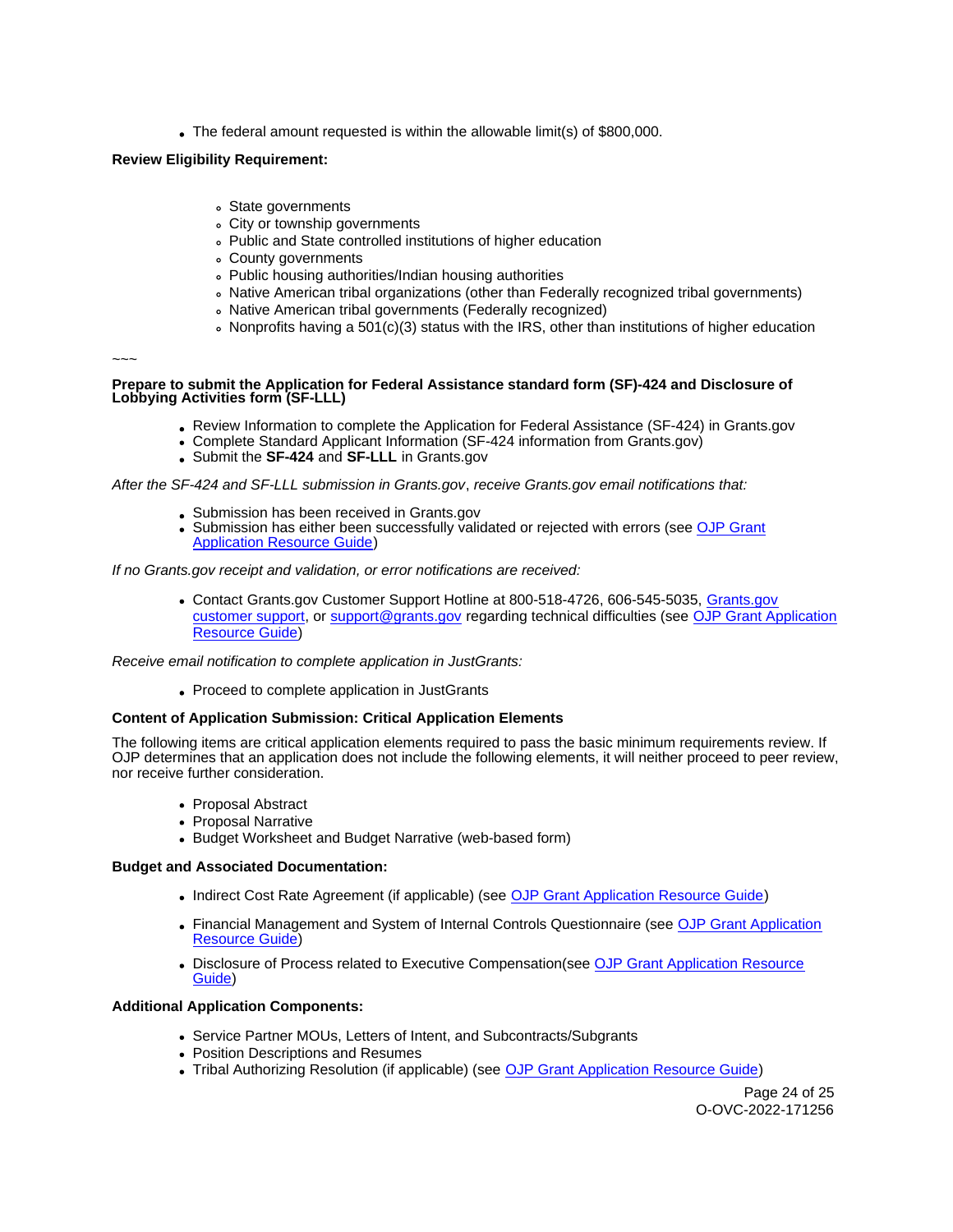The federal amount requested is within the allowable limit(s) of \$800,000.

# **Review Eligibility Requirement:**

- State governments
- City or township governments
- Public and State controlled institutions of higher education
- County governments
- Public housing authorities/Indian housing authorities
- Native American tribal organizations (other than Federally recognized tribal governments)
- Native American tribal governments (Federally recognized)
- Nonprofits having a 501(c)(3) status with the IRS, other than institutions of higher education

~~~

## **Prepare to submit the Application for Federal Assistance standard form (SF)-424 and Disclosure of Lobbying Activities form (SF-LLL)**

- Review Information to complete the Application for Federal Assistance (SF-424) in [Grants.gov](https://Grants.gov)
- Complete Standard Applicant Information (SF-424 information from [Grants.gov\)](https://Grants.gov)
- Submit the **SF-424** and **SF-LLL** in [Grants.gov](https://Grants.gov)

After the SF-424 and SF-LLL submission in [Grants.gov](https://Grants.gov), receive [Grants.gov](https://Grants.gov) email notifications that:

- Submission has been received in [Grants.gov](https://Grants.gov)
- Submission has either been successfully validated or rejected with errors (see OJP Grant [Application Resource Guide\)](https://www.ojp.gov/funding/apply/ojp-grant-application-resource-guide#apply)

If no [Grants.gov](https://Grants.gov) receipt and validation, or error notifications are received:

Contact [Grants.gov](https://Grants.gov) Customer Support Hotline at 800-518-4726, 606-545-5035, [Grants.gov](https://www.grants.gov/web/grants/support.html)  [customer support,](https://www.grants.gov/web/grants/support.html) or [support@grants.gov](mailto:support@grants.gov) regarding technical difficulties (see [OJP Grant Application](https://www.ojp.gov/funding/apply/ojp-grant-application-resource-guide#apply)  [Resource Guide\)](https://www.ojp.gov/funding/apply/ojp-grant-application-resource-guide#apply)

Receive email notification to complete application in JustGrants:

Proceed to complete application in JustGrants

## **Content of Application Submission: Critical Application Elements**

The following items are critical application elements required to pass the basic minimum requirements review. If OJP determines that an application does not include the following elements, it will neither proceed to peer review, nor receive further consideration.

- Proposal Abstract
- Proposal Narrative
- Budget Worksheet and Budget Narrative (web-based form)

## **Budget and Associated Documentation:**

- Indirect Cost Rate Agreement (if applicable) (see [OJP Grant Application Resource Guide\)](https://www.ojp.gov/funding/apply/ojp-grant-application-resource-guide#indirect-cost)
- Financial Management and System of Internal Controls Questionnaire (see OJP Grant Application [Resource Guide\)](https://www.ojp.gov/funding/apply/ojp-grant-application-resource-guide#fm-internal-controls-questionnaire)
- Disclosure of Process related to Executive Compensation(see OJP Grant Application Resource [Guide\)](https://www.ojp.gov/funding/apply/ojp-grant-application-resource-guide#disclosure-process-executive)

## **Additional Application Components:**

- Service Partner MOUs, Letters of Intent, and Subcontracts/Subgrants
- Position Descriptions and Resumes
- Tribal Authorizing Resolution (if applicable) (see [OJP Grant Application Resource Guide\)](https://www.ojp.gov/funding/apply/ojp-grant-application-resource-guide#tribal-authorizing-resolution)